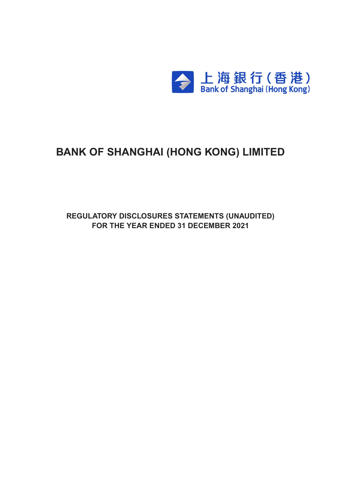

# **BANK OF SHANGHAI (HONG KONG) LIMITED**

**Regulatory Disclosures Statements (UNAUDITED) For the Year ended 31 december 2021**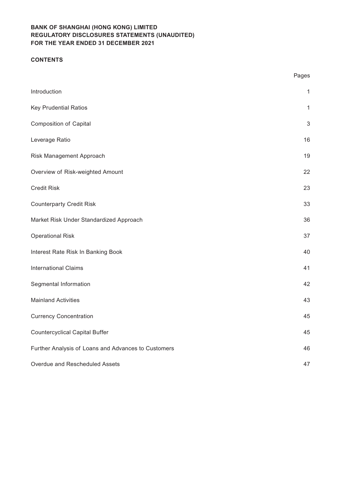# **CONTENTS**

|                                                     | Pages        |
|-----------------------------------------------------|--------------|
| Introduction                                        | $\mathbf{1}$ |
| <b>Key Prudential Ratios</b>                        | $\mathbf{1}$ |
| <b>Composition of Capital</b>                       | $\sqrt{3}$   |
| Leverage Ratio                                      | 16           |
| Risk Management Approach                            | 19           |
| Overview of Risk-weighted Amount                    | 22           |
| <b>Credit Risk</b>                                  | 23           |
| <b>Counterparty Credit Risk</b>                     | 33           |
| Market Risk Under Standardized Approach             | 36           |
| <b>Operational Risk</b>                             | 37           |
| Interest Rate Risk In Banking Book                  | 40           |
| <b>International Claims</b>                         | 41           |
| Segmental Information                               | 42           |
| <b>Mainland Activities</b>                          | 43           |
| <b>Currency Concentration</b>                       | 45           |
| <b>Countercyclical Capital Buffer</b>               | 45           |
| Further Analysis of Loans and Advances to Customers | 46           |
| Overdue and Rescheduled Assets                      | 47           |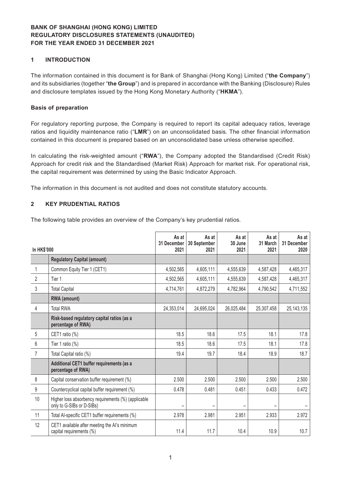### **1 INTRODUCTION**

The information contained in this document is for Bank of Shanghai (Hong Kong) Limited ("**the Company**") and its subsidiaries (together "**the Group**") and is prepared in accordance with the Banking (Disclosure) Rules and disclosure templates issued by the Hong Kong Monetary Authority ("**HKMA**").

#### **Basis of preparation**

For regulatory reporting purpose, the Company is required to report its capital adequacy ratios, leverage ratios and liquidity maintenance ratio ("**LMR**") on an unconsolidated basis. The other financial information contained in this document is prepared based on an unconsolidated base unless otherwise specified.

In calculating the risk-weighted amount ("**RWA**"), the Company adopted the Standardised (Credit Risk) Approach for credit risk and the Standardised (Market Risk) Approach for market risk. For operational risk, the capital requirement was determined by using the Basic Indicator Approach.

The information in this document is not audited and does not constitute statutory accounts.

#### **2 KEY PRUDENTIAL RATIOS**

The following table provides an overview of the Company's key prudential ratios.

| <b>In HK\$'000</b> |                                                                                  | As at<br>31 December<br>2021 | As at<br>30 September<br>2021 | As at<br>30 June<br>2021 | As at<br>31 March<br>2021 | As at<br>31 December<br>2020 |
|--------------------|----------------------------------------------------------------------------------|------------------------------|-------------------------------|--------------------------|---------------------------|------------------------------|
|                    | <b>Regulatory Capital (amount)</b>                                               |                              |                               |                          |                           |                              |
| 1                  | Common Equity Tier 1 (CET1)                                                      | 4,502,565                    | 4,605,111                     | 4,555,639                | 4,587,428                 | 4,465,317                    |
| 2                  | Tier 1                                                                           | 4,502,565                    | 4,605,111                     | 4,555,639                | 4,587,428                 | 4,465,317                    |
| 3                  | <b>Total Capital</b>                                                             | 4,714,761                    | 4,872,279                     | 4,782,964                | 4,790,542                 | 4,711,552                    |
|                    | RWA (amount)                                                                     |                              |                               |                          |                           |                              |
| 4                  | <b>Total RWA</b>                                                                 | 24,353,014                   | 24,695,024                    | 26,025,484               | 25,307,458                | 25, 143, 135                 |
|                    | Risk-based regulatory capital ratios (as a<br>percentage of RWA)                 |                              |                               |                          |                           |                              |
| 5                  | CET1 ratio (%)                                                                   | 18.5                         | 18.6                          | 17.5                     | 18.1                      | 17.8                         |
| 6                  | Tier 1 ratio $(\%)$                                                              | 18.5                         | 18.6                          | 17.5                     | 18.1                      | 17.8                         |
| $\overline{7}$     | Total Capital ratio (%)                                                          | 19.4                         | 19.7                          | 18.4                     | 18.9                      | 18.7                         |
|                    | Additional CET1 buffer requirements (as a<br>percentage of RWA)                  |                              |                               |                          |                           |                              |
| 8                  | Capital conservation buffer requirement (%)                                      | 2.500                        | 2.500                         | 2.500                    | 2.500                     | 2.500                        |
| 9                  | Countercyclical capital buffer requirement (%)                                   | 0.478                        | 0.481                         | 0.451                    | 0.433                     | 0.472                        |
| 10                 | Higher loss absorbency requirements (%) (applicable<br>only to G-SIBs or D-SIBs) |                              |                               |                          |                           |                              |
| 11                 | Total Al-specific CET1 buffer requirements (%)                                   | 2.978                        | 2.981                         | 2.951                    | 2.933                     | 2.972                        |
| 12                 | CET1 available after meeting the AI's minimum<br>capital requirements (%)        | 11.4                         | 11.7                          | 10.4                     | 10.9                      | 10.7                         |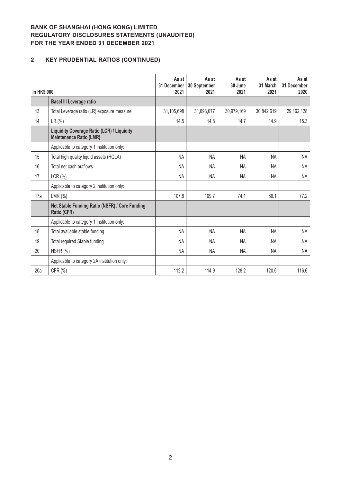# **2 KEY PRUDENTIAL RATIOS (CONTINUED)**

| In HK\$'000 |                                                                              | As at<br>31 December<br>2021 | As at<br>30 September<br>2021 | As at<br>30 June<br>2021 | As at<br>31 March<br>2021 | As at<br>31 December<br>2020 |
|-------------|------------------------------------------------------------------------------|------------------------------|-------------------------------|--------------------------|---------------------------|------------------------------|
|             | <b>Basel III Leverage ratio</b>                                              |                              |                               |                          |                           |                              |
| 13          | Total Leverage ratio (LR) exposure measure                                   | 31,105,698                   | 31,093,077                    | 30,979,169               | 30,842,619                | 29, 162, 128                 |
| 14          | $LR$ (%)                                                                     | 14.5                         | 14.8                          | 14.7                     | 14.9                      | 15.3                         |
|             | Liquidity Coverage Ratio (LCR) / Liquidity<br><b>Maintenance Ratio (LMR)</b> |                              |                               |                          |                           |                              |
|             | Applicable to category 1 institution only:                                   |                              |                               |                          |                           |                              |
| 15          | Total high quality liquid assets (HQLA)                                      | NA                           | <b>NA</b>                     | <b>NA</b>                | <b>NA</b>                 | NA                           |
| 16          | Total net cash outflows                                                      | <b>NA</b>                    | <b>NA</b>                     | <b>NA</b>                | NA.                       | NA                           |
| 17          | LCR(%)                                                                       | <b>NA</b>                    | <b>NA</b>                     | <b>NA</b>                | <b>NA</b>                 | NA                           |
|             | Applicable to category 2 institution only:                                   |                              |                               |                          |                           |                              |
| 17a         | LMR $(\%)$                                                                   | 107.8                        | 109.7                         | 74.1                     | 66.1                      | 77.2                         |
|             | Net Stable Funding Ratio (NSFR) / Core Funding<br>Ratio (CFR)                |                              |                               |                          |                           |                              |
|             | Applicable to category 1 institution only:                                   |                              |                               |                          |                           |                              |
| 18          | Total available stable funding                                               | <b>NA</b>                    | <b>NA</b>                     | <b>NA</b>                | <b>NA</b>                 | NA                           |
| 19          | Total required Stable funding                                                | <b>NA</b>                    | <b>NA</b>                     | <b>NA</b>                | <b>NA</b>                 | NA                           |
| 20          | NSFR (%)                                                                     | <b>NA</b>                    | <b>NA</b>                     | NA                       | <b>NA</b>                 | <b>NA</b>                    |
|             | Applicable to category 2A institution only:                                  |                              |                               |                          |                           |                              |
| 20a         | CFR (%)                                                                      | 112.2                        | 114.9                         | 128.2                    | 120.6                     | 116.6                        |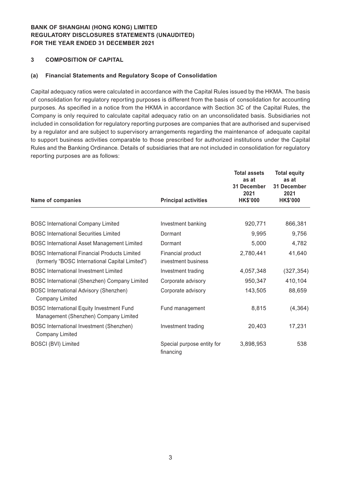### **3 COMPOSITION OF CAPITAL**

#### **(a) Financial Statements and Regulatory Scope of Consolidation**

Capital adequacy ratios were calculated in accordance with the Capital Rules issued by the HKMA. The basis of consolidation for regulatory reporting purposes is different from the basis of consolidation for accounting purposes. As specified in a notice from the HKMA in accordance with Section 3C of the Capital Rules, the Company is only required to calculate capital adequacy ratio on an unconsolidated basis. Subsidiaries not included in consolidation for regulatory reporting purposes are companies that are authorised and supervised by a regulator and are subject to supervisory arrangements regarding the maintenance of adequate capital to support business activities comparable to those prescribed for authorized institutions under the Capital Rules and the Banking Ordinance. Details of subsidiaries that are not included in consolidation for regulatory reporting purposes are as follows:

| Name of companies                                                                                       | <b>Principal activities</b>              | <b>Total assets</b><br>as at<br>31 December<br>2021<br><b>HK\$'000</b> | <b>Total equity</b><br>as at<br>31 December<br>2021<br><b>HK\$'000</b> |
|---------------------------------------------------------------------------------------------------------|------------------------------------------|------------------------------------------------------------------------|------------------------------------------------------------------------|
|                                                                                                         |                                          |                                                                        |                                                                        |
| <b>BOSC International Company Limited</b>                                                               | Investment banking                       | 920,771                                                                | 866,381                                                                |
| <b>BOSC International Securities Limited</b>                                                            | Dormant                                  | 9,995                                                                  | 9,756                                                                  |
| <b>BOSC International Asset Management Limited</b>                                                      | Dormant                                  | 5,000                                                                  | 4,782                                                                  |
| <b>BOSC International Financial Products Limited</b><br>(formerly "BOSC International Capital Limited") | Financial product<br>investment business | 2,780,441                                                              | 41,640                                                                 |
| <b>BOSC</b> International Investment Limited                                                            | Investment trading                       | 4,057,348                                                              | (327, 354)                                                             |
| BOSC International (Shenzhen) Company Limited                                                           | Corporate advisory                       | 950,347                                                                | 410,104                                                                |
| <b>BOSC International Advisory (Shenzhen)</b><br><b>Company Limited</b>                                 | Corporate advisory                       | 143,505                                                                | 88,659                                                                 |
| <b>BOSC International Equity Investment Fund</b><br>Management (Shenzhen) Company Limited               | Fund management                          | 8,815                                                                  | (4, 364)                                                               |
| <b>BOSC</b> International Investment (Shenzhen)<br><b>Company Limited</b>                               | Investment trading                       | 20,403                                                                 | 17,231                                                                 |
| <b>BOSCI (BVI) Limited</b>                                                                              | Special purpose entity for<br>financing  | 3,898,953                                                              | 538                                                                    |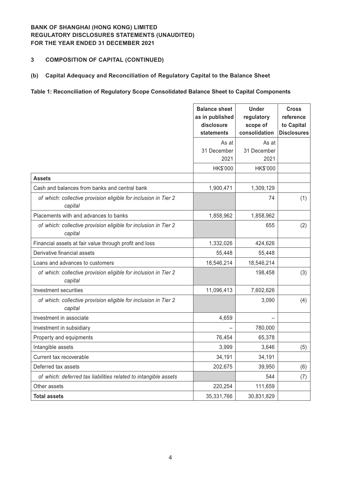### **3 COMPOSITION OF CAPITAL (CONTINUED)**

### **(b) Capital Adequacy and Reconciliation of Regulatory Capital to the Balance Sheet**

### **Table 1: Reconciliation of Regulatory Scope Consolidated Balance Sheet to Capital Components**

|                                                                            | <b>Balance sheet</b><br>as in published<br>disclosure<br>statements | <b>Under</b><br>regulatory<br>scope of<br>consolidation | <b>Cross</b><br>reference<br>to Capital<br><b>Disclosures</b> |
|----------------------------------------------------------------------------|---------------------------------------------------------------------|---------------------------------------------------------|---------------------------------------------------------------|
|                                                                            | As at                                                               | As at                                                   |                                                               |
|                                                                            | 31 December                                                         | 31 December                                             |                                                               |
|                                                                            | 2021                                                                | 2021                                                    |                                                               |
|                                                                            | HK\$'000                                                            | HK\$'000                                                |                                                               |
| <b>Assets</b>                                                              |                                                                     |                                                         |                                                               |
| Cash and balances from banks and central bank                              | 1,900,471                                                           | 1,309,129                                               |                                                               |
| of which: collective provision eligible for inclusion in Tier 2<br>capital |                                                                     | 74                                                      | (1)                                                           |
| Placements with and advances to banks                                      | 1,858,962                                                           | 1,858,962                                               |                                                               |
| of which: collective provision eligible for inclusion in Tier 2<br>capital |                                                                     | 655                                                     | (2)                                                           |
| Financial assets at fair value through profit and loss                     | 1,332,026                                                           | 424,626                                                 |                                                               |
| Derivative financial assets                                                | 55,448                                                              | 55,448                                                  |                                                               |
| Loans and advances to customers                                            | 18,546,214                                                          | 18,546,214                                              |                                                               |
| of which: collective provision eligible for inclusion in Tier 2<br>capital |                                                                     | 198,458                                                 | (3)                                                           |
| <b>Investment securities</b>                                               | 11,096,413                                                          | 7,602,626                                               |                                                               |
| of which: collective provision eligible for inclusion in Tier 2<br>capital |                                                                     | 3,090                                                   | (4)                                                           |
| Investment in associate                                                    | 4,659                                                               |                                                         |                                                               |
| Investment in subsidiary                                                   |                                                                     | 780,000                                                 |                                                               |
| Property and equipments                                                    | 76,454                                                              | 65,378                                                  |                                                               |
| Intangible assets                                                          | 3,999                                                               | 3,646                                                   | (5)                                                           |
| Current tax recoverable                                                    | 34,191                                                              | 34,191                                                  |                                                               |
| Deferred tax assets                                                        | 202,675                                                             | 39,950                                                  | (6)                                                           |
| of which: deferred tax liabilities related to intangible assets            |                                                                     | 544                                                     | (7)                                                           |
| Other assets                                                               | 220,254                                                             | 111,659                                                 |                                                               |
| <b>Total assets</b>                                                        | 35,331,766                                                          | 30,831,829                                              |                                                               |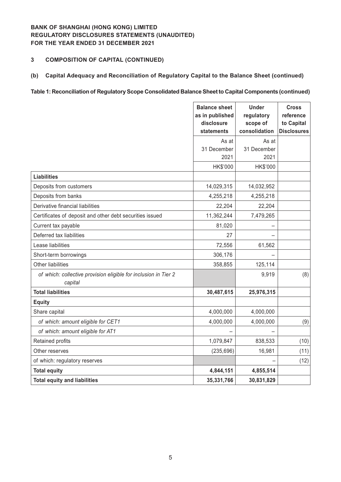### **3 COMPOSITION OF CAPITAL (CONTINUED)**

### **(b) Capital Adequacy and Reconciliation of Regulatory Capital to the Balance Sheet (continued)**

#### **Table 1: Reconciliation of Regulatory Scope Consolidated Balance Sheet to Capital Components (continued)**

|                                                                            | <b>Balance sheet</b><br>as in published<br>disclosure<br>statements | <b>Under</b><br>regulatory<br>scope of<br>consolidation | <b>Cross</b><br>reference<br>to Capital<br><b>Disclosures</b> |
|----------------------------------------------------------------------------|---------------------------------------------------------------------|---------------------------------------------------------|---------------------------------------------------------------|
|                                                                            | As at                                                               | As at                                                   |                                                               |
|                                                                            | 31 December                                                         | 31 December                                             |                                                               |
|                                                                            | 2021                                                                | 2021                                                    |                                                               |
|                                                                            | HK\$'000                                                            | HK\$'000                                                |                                                               |
| <b>Liabilities</b>                                                         |                                                                     |                                                         |                                                               |
| Deposits from customers                                                    | 14,029,315                                                          | 14,032,952                                              |                                                               |
| Deposits from banks                                                        | 4,255,218                                                           | 4,255,218                                               |                                                               |
| Derivative financial liabilities                                           | 22,204                                                              | 22,204                                                  |                                                               |
| Certificates of deposit and other debt securities issued                   | 11,362,244                                                          | 7,479,265                                               |                                                               |
| Current tax payable                                                        | 81,020                                                              |                                                         |                                                               |
| Deferred tax liabilities                                                   | 27                                                                  |                                                         |                                                               |
| Lease liabilities                                                          | 72,556                                                              | 61,562                                                  |                                                               |
| Short-term borrowings                                                      | 306,176                                                             |                                                         |                                                               |
| <b>Other liabilities</b>                                                   | 358,855                                                             | 125,114                                                 |                                                               |
| of which: collective provision eligible for inclusion in Tier 2<br>capital |                                                                     | 9,919                                                   | (8)                                                           |
| <b>Total liabilities</b>                                                   | 30,487,615                                                          | 25,976,315                                              |                                                               |
| <b>Equity</b>                                                              |                                                                     |                                                         |                                                               |
| Share capital                                                              | 4,000,000                                                           | 4,000,000                                               |                                                               |
| of which: amount eligible for CET1                                         | 4,000,000                                                           | 4,000,000                                               | (9)                                                           |
| of which: amount eligible for AT1                                          |                                                                     |                                                         |                                                               |
| Retained profits                                                           | 1,079,847                                                           | 838,533                                                 | (10)                                                          |
| Other reserves                                                             | (235, 696)                                                          | 16,981                                                  | (11)                                                          |
| of which: regulatory reserves                                              |                                                                     |                                                         | (12)                                                          |
| <b>Total equity</b>                                                        | 4,844,151                                                           | 4,855,514                                               |                                                               |
| <b>Total equity and liabilities</b>                                        | 35,331,766                                                          | 30,831,829                                              |                                                               |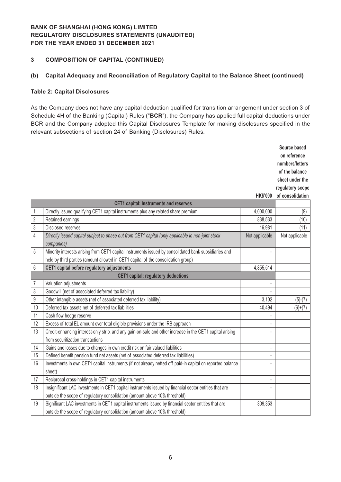### **3 COMPOSITION OF CAPITAL (CONTINUED)**

#### **(b) Capital Adequacy and Reconciliation of Regulatory Capital to the Balance Sheet (continued)**

#### **Table 2: Capital Disclosures**

As the Company does not have any capital deduction qualified for transition arrangement under section 3 of Schedule 4H of the Banking (Capital) Rules ("**BCR**"), the Company has applied full capital deductions under BCR and the Company adopted this Capital Disclosures Template for making disclosures specified in the relevant subsections of section 24 of Banking (Disclosures) Rules.

|                |                                                                                                                  |                          | Source based<br>on reference |
|----------------|------------------------------------------------------------------------------------------------------------------|--------------------------|------------------------------|
|                |                                                                                                                  |                          | numbers/letters              |
|                |                                                                                                                  |                          | of the balance               |
|                |                                                                                                                  |                          | sheet under the              |
|                |                                                                                                                  |                          | regulatory scope             |
|                |                                                                                                                  | <b>HK\$'000</b>          | of consolidation             |
|                | <b>CET1 capital: Instruments and reserves</b>                                                                    |                          |                              |
| $\mathbf{1}$   | Directly issued qualifying CET1 capital instruments plus any related share premium                               | 4,000,000                | (9)                          |
| $\sqrt{2}$     | Retained earnings                                                                                                | 838,533                  | (10)                         |
| $\sqrt{3}$     | <b>Disclosed reserves</b>                                                                                        | 16,981                   | (11)                         |
| $\overline{4}$ | Directly issued capital subject to phase out from CET1 capital (only applicable lo non-joint stock<br>companies) | Not applicable           | Not applicable               |
| 5              | Minority interests arising from CET1 capital instruments issued by consolidated bank subsidiaries and            |                          |                              |
|                | held by third parties (amount allowed in CET1 capital of the consolidation group)                                |                          |                              |
| $6\,$          | CET1 capital before regulatory adjustments                                                                       | 4,855,514                |                              |
|                | <b>CET1 capital: regulatory deductions</b>                                                                       |                          |                              |
| $\overline{7}$ | Valuation adjustments                                                                                            |                          |                              |
| 8              | Goodwill (net of associated deferred tax liability)                                                              |                          |                              |
| 9              | Other intangible assets (net of associated deferred tax liability)                                               | 3,102                    | $(5)-(7)$                    |
| 10             | Deferred tax assets net of deferred tax liabilities                                                              | 40,494                   | $(6)+(7)$                    |
| 11             | Cash flow hedge reserve                                                                                          |                          |                              |
| 12             | Excess of total EL amount over total eligible provisions under the IRB approach                                  |                          |                              |
| 13             | Credit-enhancing interest-only strip, and any gain-on-sale and other increase in the CET1 capital arising        |                          |                              |
|                | from securitization transactions                                                                                 |                          |                              |
| 14             | Gains and losses due to changes in own credit risk on fair valued liabilities                                    | $\overline{\phantom{0}}$ |                              |
| 15             | Defined benefit pension fund net assets (net of associated deferred tax liabilities)                             | $\overline{\phantom{0}}$ |                              |
| 16             | Investments in own CET1 capital instruments (if not already netted off paid-in capital on reported balance       |                          |                              |
|                | sheet)                                                                                                           |                          |                              |
| 17             | Reciprocal cross-holdings in CET1 capital instruments                                                            |                          |                              |
| 18             | Insignificant LAC investments in CET1 capital instruments issued by financial sector entities that are           |                          |                              |
|                | outside the scope of regulatory consolidation (amount above 10% threshold)                                       |                          |                              |
| 19             | Significant LAC investments in CET1 capital instruments issued by financial sector entities that are             | 309,353                  |                              |
|                | outside the scope of regulatory consolidation (amount above 10% threshold)                                       |                          |                              |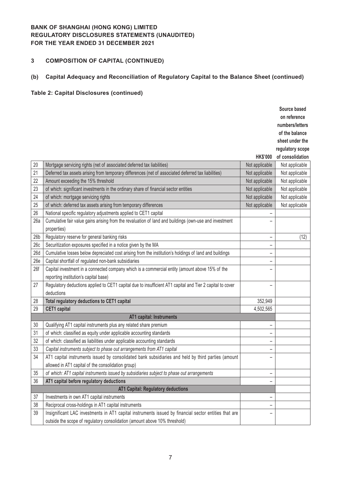### **3 COMPOSITION OF CAPITAL (CONTINUED)**

# **(b) Capital Adequacy and Reconciliation of Regulatory Capital to the Balance Sheet (continued)**

|                 |                                                                                                           |                   | Source based     |
|-----------------|-----------------------------------------------------------------------------------------------------------|-------------------|------------------|
|                 |                                                                                                           |                   | on reference     |
|                 |                                                                                                           |                   | numbers/letters  |
|                 |                                                                                                           |                   | of the balance   |
|                 |                                                                                                           |                   | sheet under the  |
|                 |                                                                                                           |                   | regulatory scope |
|                 |                                                                                                           | <b>HK\$'000</b>   | of consolidation |
| 20              | Mortgage servicing rights (net of associated deferred tax liabilities)                                    | Not applicable    | Not applicable   |
| 21              | Deferred tax assets arising from temporary differences (net of associated deferred tax liabilities)       | Not applicable    | Not applicable   |
| 22              | Amount exceeding the 15% threshold                                                                        | Not applicable    | Not applicable   |
| 23              | of which: significant investments in the ordinary share of financial sector entities                      | Not applicable    | Not applicable   |
| 24              | of which: mortgage servicing rights                                                                       | Not applicable    | Not applicable   |
| 25              | of which: deferred tax assets arising from temporary differences                                          | Not applicable    | Not applicable   |
| 26              | National specific regulatory adjustments applied to CET1 capital                                          |                   |                  |
| 26a             | Cumulative fair value gains arising from the revaluation of land and buildings (own-use and investment    |                   |                  |
|                 | properties)                                                                                               |                   |                  |
| 26 <sub>b</sub> | Regulatory reserve for general banking risks                                                              | $\qquad \qquad -$ | (12)             |
| 26c             | Securitization exposures specified in a notice given by the MA                                            | $\qquad \qquad -$ |                  |
| 26d             | Cumulative losses below depreciated cost arising from the institution's holdings of land and buildings    | -                 |                  |
| 26e             | Capital shortfall of regulated non-bank subsidiaries                                                      |                   |                  |
| 26f             | Capital investment in a connected company which is a commercial entity (amount above 15% of the           |                   |                  |
|                 | reporting institution's capital base)                                                                     |                   |                  |
| 27              | Regulatory deductions applied to CET1 capital due to insufficient AT1 capital and Tier 2 capital to cover | -                 |                  |
|                 | deductions                                                                                                |                   |                  |
| 28              | Total regulatory deductions to CET1 capital                                                               | 352,949           |                  |
| 29              | <b>CET1</b> capital                                                                                       | 4,502,565         |                  |
|                 | AT1 capital: Instruments                                                                                  |                   |                  |
| 30              | Qualifying AT1 capital instruments plus any related share premium                                         | $\qquad \qquad -$ |                  |
| 31              | of which: classified as equity under applicable accounting standards                                      | $\qquad \qquad -$ |                  |
| 32              | of which: classified as liabilities under applicable accounting standards                                 | $\qquad \qquad -$ |                  |
| 33              | Capital instruments subject to phase out arrangements from AT1 capital                                    | -                 |                  |
| 34              | AT1 capital instruments issued by consolidated bank subsidiaries and held by third parties (amount        |                   |                  |
|                 | allowed in AT1 capital of the consolidation group)                                                        |                   |                  |
| 35              | of which: AT1 capital instruments issued by subsidiaries subject to phase out arrangements                | $\qquad \qquad -$ |                  |
| 36              | AT1 capital before regulatory deductions                                                                  | -                 |                  |
|                 | AT1 Capital: Regulatory deductions                                                                        |                   |                  |
| 37              | Investments in own AT1 capital instruments                                                                |                   |                  |
| 38              | Reciprocal cross-holdings in AT1 capital instruments                                                      | -                 |                  |
| 39              | Insignificant LAC investments in AT1 capital instruments issued by financial sector entities that are     | -                 |                  |
|                 | outside the scope of regulatory consolidation (amount above 10% threshold)                                |                   |                  |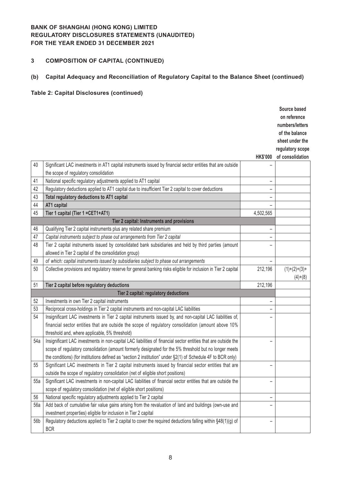### **3 COMPOSITION OF CAPITAL (CONTINUED)**

# **(b) Capital Adequacy and Reconciliation of Regulatory Capital to the Balance Sheet (continued)**

|     |                                                                                                                 |                          | Source based     |
|-----|-----------------------------------------------------------------------------------------------------------------|--------------------------|------------------|
|     |                                                                                                                 |                          | on reference     |
|     |                                                                                                                 |                          | numbers/letters  |
|     |                                                                                                                 |                          | of the balance   |
|     |                                                                                                                 |                          | sheet under the  |
|     |                                                                                                                 |                          | regulatory scope |
|     |                                                                                                                 | <b>HK\$'000</b>          | of consolidation |
| 40  | Significant LAC investments in AT1 capital instruments issued by financial sector entities that are outside     |                          |                  |
|     | the scope of regulatory consolidation                                                                           |                          |                  |
| 41  | National specific regulatory adjustments applied to AT1 capital                                                 | -                        |                  |
| 42  | Regulatory deductions applied to AT1 capital due to insufficient Tier 2 capital to cover deductions             | -                        |                  |
| 43  | Total regulatory deductions to AT1 capital                                                                      | <sup>-</sup>             |                  |
| 44  | AT1 capital                                                                                                     |                          |                  |
| 45  | Tier 1 capital (Tier 1 = CET1+AT1)                                                                              | 4,502,565                |                  |
|     | Tier 2 capital: Instruments and provisions                                                                      |                          |                  |
| 46  | Qualifying Tier 2 capital instruments plus any related share premium                                            |                          |                  |
| 47  | Capital instruments subject to phase out arrangements from Tier 2 capital                                       | $\qquad \qquad -$        |                  |
| 48  | Tier 2 capital instruments issued by consolidated bank subsidiaries and held by third parties (amount           |                          |                  |
|     | allowed in Tier 2 capital of the consolidation group)                                                           |                          |                  |
| 49  | of which: capital instruments issued by subsidiaries subject to phase out arrangements                          |                          |                  |
| 50  | Collective provisions and regulatory reserve for general banking risks eligible for inclusion in Tier 2 capital | 212,196                  | $(1)+(2)+(3)+$   |
|     |                                                                                                                 |                          | $(4)+(8)$        |
| 51  | Tier 2 capital before regulatory deductions                                                                     | 212,196                  |                  |
|     | Tier 2 capital: regulatory deductions                                                                           |                          |                  |
| 52  | Investments in own Tier 2 capital instruments                                                                   | $\overline{\phantom{0}}$ |                  |
| 53  | Reciprocal cross-holdings in Tier 2 capital instruments and non-capital LAC liabilities                         | $\qquad \qquad -$        |                  |
| 54  | Insignificant LAC investments in Tier 2 capital instruments issued by, and non-capital LAC liabilities of,      |                          |                  |
|     | financial sector entities that are outside the scope of regulatory consolidation (amount above 10%              |                          |                  |
|     | threshold and, where applicable, 5% threshold)                                                                  |                          |                  |
| 54a | Insignificant LAC investments in non-capital LAC liabilities of financial sector entities that are outside the  |                          |                  |
|     | scope of regulatory consolidation (amount formerly designated for the 5% threshold but no longer meets          |                          |                  |
|     | the conditions) (for institutions defined as "section 2 institution" under §2(1) of Schedule 4F to BCR only)    |                          |                  |
| 55  | Significant LAC investments in Tier 2 capital instruments issued by financial sector entities that are          |                          |                  |
|     | outside the scope of regulatory consolidation (net of eligible short positions)                                 |                          |                  |
| 55a | Significant LAC investments in non-capital LAC liabilities of financial sector entities that are outside the    |                          |                  |
|     | scope of regulatory consolidation (net of eligible short positions)                                             |                          |                  |
| 56  | National specific regulatory adjustments applied to Tier 2 capital                                              |                          |                  |
| 56a | Add back of cumulative fair value gains arising from the revaluation of land and buildings (own-use and         |                          |                  |
|     | investment properties) eligible for inclusion in Tier 2 capital                                                 |                          |                  |
| 56b | Regulatory deductions applied to Tier 2 capital to cover the required deductions falling within §48(1)(g) of    |                          |                  |
|     | <b>BCR</b>                                                                                                      |                          |                  |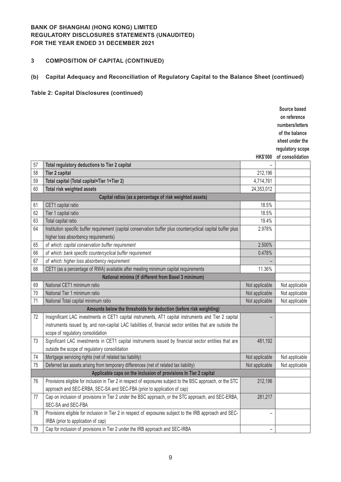### **3 COMPOSITION OF CAPITAL (CONTINUED)**

# **(b) Capital Adequacy and Reconciliation of Regulatory Capital to the Balance Sheet (continued)**

|    |                                                                                                               |                 | Source based     |
|----|---------------------------------------------------------------------------------------------------------------|-----------------|------------------|
|    |                                                                                                               |                 | on reference     |
|    |                                                                                                               |                 | numbers/letters  |
|    |                                                                                                               |                 | of the balance   |
|    |                                                                                                               |                 | sheet under the  |
|    |                                                                                                               |                 | regulatory scope |
|    |                                                                                                               | <b>HK\$'000</b> | of consolidation |
| 57 | Total regulatory deductions to Tier 2 capital                                                                 |                 |                  |
| 58 | Tier 2 capital                                                                                                | 212,196         |                  |
| 59 | Total capital (Total capital=Tier 1+Tier 2)                                                                   | 4,714,761       |                  |
| 60 | Total risk weighted assets                                                                                    | 24,353,012      |                  |
|    | Capital ratios (as a percentage of risk weighted assets)                                                      |                 |                  |
| 61 | CET1 capital ratio                                                                                            | 18.5%           |                  |
| 62 | Tier 1 capital ratio                                                                                          | 18.5%           |                  |
| 63 | Total capital ratio                                                                                           | 19.4%           |                  |
| 64 | Institution specific buffer requirement (capital conservation buffer plus countercyclical capital buffer plus | 2.978%          |                  |
|    | higher loss absorbency requirements)                                                                          |                 |                  |
| 65 | of which: capital conservation buffer requirement                                                             | 2.500%          |                  |
| 66 | of which: bank specific countercyclical buffer requirement                                                    | 0.478%          |                  |
| 67 | of which: higher loss absorbency requirement                                                                  |                 |                  |
| 68 | CET1 (as a percentage of RWA) available after meeting minimum capital requirements                            | 11.36%          |                  |
|    | National minima (if different from Basel 3 minimum)                                                           |                 |                  |
| 69 | National CET1 minimum ratio                                                                                   | Not applicable  | Not applicable   |
| 70 | National Tier 1 minimum ratio                                                                                 | Not applicable  | Not applicable   |
| 71 | National Total capital minimum ratio                                                                          | Not applicable  | Not applicable   |
|    | Amounts below the thresholds for deduction (before risk weighting)                                            |                 |                  |
| 72 | Insignificant LAC investments in CET1 capital instruments, AT1 capital instruments and Tier 2 capital         |                 |                  |
|    | instruments issued by, and non-capital LAC liabilities of, financial sector entities that are outside the     |                 |                  |
|    | scope of regulatory consolidation                                                                             |                 |                  |
| 73 | Significant LAC investments in CET1 capital instruments issued by financial sector entities that are          | 481,192         |                  |
|    | outside the scope of regulatory consolidation                                                                 |                 |                  |
| 74 | Mortgage servicing rights (net of related tax liability)                                                      | Not applicable  | Not applicable   |
| 75 | Deferred tax assets arising from temporary differences (net of related tax liability)                         | Not applicable  | Not applicable   |
|    | Applicable caps on the inclusion of provisions In Tier 2 capital                                              |                 |                  |
| 76 | Provisions eligible for inclusion in Tier 2 in respect of exposures subject to the BSC approach, or the STC   | 212,196         |                  |
|    | approach and SEC-ERBA, SEC-SA and SEC-FBA (prior to application of cap)                                       |                 |                  |
| 77 | Cap on inclusion of provisions in Tier 2 under the BSC approach, or the STC approach, and SEC-ERBA,           | 281,217         |                  |
|    | SEC-SA and SEC-FBA                                                                                            |                 |                  |
| 78 | Provisions eligible for inclusion in Tier 2 in respect of exposures subject to the IRB approach and SEC-      | -               |                  |
|    | IRBA (prior to application of cap)                                                                            |                 |                  |
| 79 | Cap for inclusion of provisions in Tier 2 under the IRB approach and SEC-IRBA                                 | -               |                  |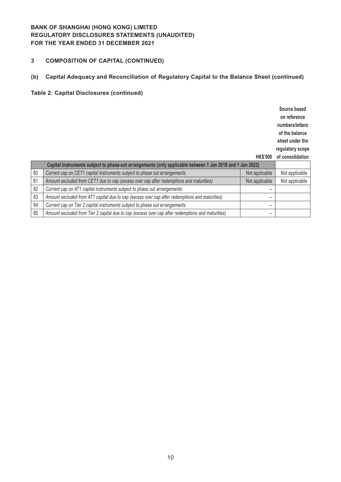### **3 COMPOSITION OF CAPITAL (CONTINUED)**

# **(b) Capital Adequacy and Reconciliation of Regulatory Capital to the Balance Sheet (continued)**

|    |                                                                                                           |                 | Source based     |
|----|-----------------------------------------------------------------------------------------------------------|-----------------|------------------|
|    |                                                                                                           |                 | on reference     |
|    |                                                                                                           |                 | numbers/letters  |
|    |                                                                                                           |                 | of the balance   |
|    |                                                                                                           |                 | sheet under the  |
|    |                                                                                                           |                 | regulatory scope |
|    |                                                                                                           | <b>HK\$'000</b> | of consolidation |
|    | Capital Instruments subject to phase-out arrangements (only applicable between 1 Jan 2018 and 1 Jan 2022) |                 |                  |
| 80 | Current cap on CET1 capital Instruments subject to phase out arrangements                                 | Not applicable  | Not applicable   |
| 81 | Amount excluded from CET1 due to cap (excess over cap after redemptions and maturities)                   | Not applicable  | Not applicable   |
| 82 | Current cap on AT1 capital instruments subject to phase out arrangements                                  | -               |                  |
| 83 | Amount excluded from AT1 capital due to cap (excess over cap after redemptions and maturities)            |                 |                  |
| 84 | Current cap on Tier 2 capital instruments subject to phase out arrangements                               | -               |                  |
| 85 | Amount excluded from Tier 2 capital due to cap (excess over cap after redemptions and maturities)         | -               |                  |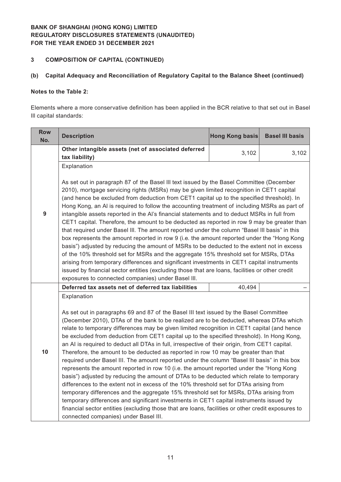### **3 COMPOSITION OF CAPITAL (CONTINUED)**

### **(b) Capital Adequacy and Reconciliation of Regulatory Capital to the Balance Sheet (continued)**

### **Notes to the Table 2:**

Elements where a more conservative definition has been applied in the BCR relative to that set out in Basel Ill capital standards:

| <b>Row</b><br>No. | <b>Description</b>                                                                                                                                                                                                                                                                                                                                                                                                                                                                                                                                                                                                                                                                                                                                                                                                                                                                                                                                                                                                                                                                                                                                                                                                                                                                                         | <b>Hong Kong basis</b> | <b>Basel III basis</b> |  |  |  |
|-------------------|------------------------------------------------------------------------------------------------------------------------------------------------------------------------------------------------------------------------------------------------------------------------------------------------------------------------------------------------------------------------------------------------------------------------------------------------------------------------------------------------------------------------------------------------------------------------------------------------------------------------------------------------------------------------------------------------------------------------------------------------------------------------------------------------------------------------------------------------------------------------------------------------------------------------------------------------------------------------------------------------------------------------------------------------------------------------------------------------------------------------------------------------------------------------------------------------------------------------------------------------------------------------------------------------------------|------------------------|------------------------|--|--|--|
|                   | Other intangible assets (net of associated deferred                                                                                                                                                                                                                                                                                                                                                                                                                                                                                                                                                                                                                                                                                                                                                                                                                                                                                                                                                                                                                                                                                                                                                                                                                                                        | 3,102                  | 3,102                  |  |  |  |
|                   | tax liability)                                                                                                                                                                                                                                                                                                                                                                                                                                                                                                                                                                                                                                                                                                                                                                                                                                                                                                                                                                                                                                                                                                                                                                                                                                                                                             |                        |                        |  |  |  |
|                   | Explanation                                                                                                                                                                                                                                                                                                                                                                                                                                                                                                                                                                                                                                                                                                                                                                                                                                                                                                                                                                                                                                                                                                                                                                                                                                                                                                |                        |                        |  |  |  |
| 9                 | As set out in paragraph 87 of the Basel III text issued by the Basel Committee (December<br>2010), mortgage servicing rights (MSRs) may be given limited recognition in CET1 capital<br>(and hence be excluded from deduction from CET1 capital up to the specified threshold). In<br>Hong Kong, an AI is required to follow the accounting treatment of including MSRs as part of<br>intangible assets reported in the AI's financial statements and to deduct MSRs in full from<br>CET1 capital. Therefore, the amount to be deducted as reported in row 9 may be greater than<br>that required under Basel III. The amount reported under the column "Basel III basis" in this<br>box represents the amount reported in row 9 (i.e. the amount reported under the "Hong Kong<br>basis") adjusted by reducing the amount of MSRs to be deducted to the extent not in excess<br>of the 10% threshold set for MSRs and the aggregate 15% threshold set for MSRs, DTAs<br>arising from temporary differences and significant investments in CET1 capital instruments<br>issued by financial sector entities (excluding those that are loans, facilities or other credit                                                                                                                                     |                        |                        |  |  |  |
|                   | exposures to connected companies) under Basel III.                                                                                                                                                                                                                                                                                                                                                                                                                                                                                                                                                                                                                                                                                                                                                                                                                                                                                                                                                                                                                                                                                                                                                                                                                                                         |                        |                        |  |  |  |
|                   | Deferred tax assets net of deferred tax liabilities                                                                                                                                                                                                                                                                                                                                                                                                                                                                                                                                                                                                                                                                                                                                                                                                                                                                                                                                                                                                                                                                                                                                                                                                                                                        | 40,494                 |                        |  |  |  |
| 10                | Explanation<br>As set out in paragraphs 69 and 87 of the Basel III text issued by the Basel Committee<br>(December 2010), DTAs of the bank to be realized are to be deducted, whereas DTAs which<br>relate to temporary differences may be given limited recognition in CET1 capital (and hence<br>be excluded from deduction from CET1 capital up to the specified threshold). In Hong Kong,<br>an AI is required to deduct all DTAs in full, irrespective of their origin, from CET1 capital.<br>Therefore, the amount to be deducted as reported in row 10 may be greater than that<br>required under Basel III. The amount reported under the column "Basel III basis" in this box<br>represents the amount reported in row 10 (i.e. the amount reported under the "Hong Kong<br>basis") adjusted by reducing the amount of DTAs to be deducted which relate to temporary<br>differences to the extent not in excess of the 10% threshold set for DTAs arising from<br>temporary differences and the aggregate 15% threshold set for MSRs, DTAs arising from<br>temporary differences and significant investments in CET1 capital instruments issued by<br>financial sector entities (excluding those that are loans, facilities or other credit exposures to<br>connected companies) under Basel III. |                        |                        |  |  |  |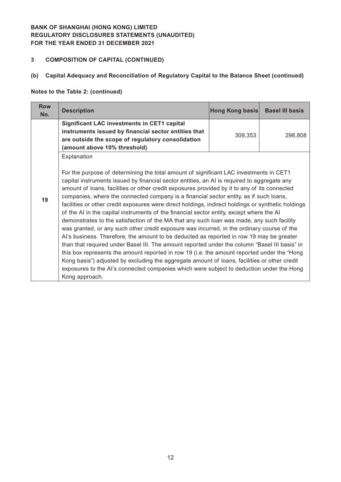### **3 COMPOSITION OF CAPITAL (CONTINUED)**

#### **(b) Capital Adequacy and Reconciliation of Regulatory Capital to the Balance Sheet (continued)**

### **Notes to the Table 2: (continued)**

| <b>Row</b><br>No. | <b>Description</b>                                                                                                                                                                                                                                                                                                                                                                                                                                                                                                                                                                                                                                                                                                                                                                                                                                                                                                                                                                                                                                                                                                                                                                                                                                                                                    | Hong Kong basis | <b>Basel III basis</b> |
|-------------------|-------------------------------------------------------------------------------------------------------------------------------------------------------------------------------------------------------------------------------------------------------------------------------------------------------------------------------------------------------------------------------------------------------------------------------------------------------------------------------------------------------------------------------------------------------------------------------------------------------------------------------------------------------------------------------------------------------------------------------------------------------------------------------------------------------------------------------------------------------------------------------------------------------------------------------------------------------------------------------------------------------------------------------------------------------------------------------------------------------------------------------------------------------------------------------------------------------------------------------------------------------------------------------------------------------|-----------------|------------------------|
|                   | <b>Significant LAC investments in CET1 capital</b><br>instruments issued by financial sector entities that<br>are outside the scope of regulatory consolidation<br>(amount above 10% threshold)                                                                                                                                                                                                                                                                                                                                                                                                                                                                                                                                                                                                                                                                                                                                                                                                                                                                                                                                                                                                                                                                                                       | 309,353         | 298,808                |
| 19                | Explanation<br>For the purpose of determining the total amount of significant LAC investments in CET1<br>capital instruments issued by financial sector entities, an AI is required to aggregate any<br>amount of loans, facilities or other credit exposures provided by it to any of its connected<br>companies, where the connected company is a financial sector entity, as if such loans,<br>facilities or other credit exposures were direct holdings, indirect holdings or synthetic holdings<br>of the AI in the capital instruments of the financial sector entity, except where the AI<br>demonstrates to the satisfaction of the MA that any such loan was made, any such facility<br>was granted, or any such other credit exposure was incurred, in the ordinary course of the<br>Al's business. Therefore, the amount to be deducted as reported in row 19 may be greater<br>than that required under Basel III. The amount reported under the column "Basel III basis" in<br>this box represents the amount reported in row 19 (i.e. the amount reported under the "Hong<br>Kong basis") adjusted by excluding the aggregate amount of loans, facilities or other credit<br>exposures to the Al's connected companies which were subject to deduction under the Hong<br>Kong approach. |                 |                        |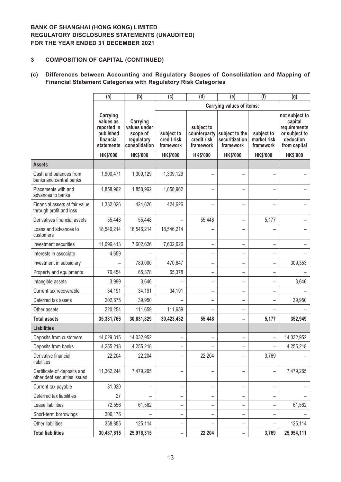#### **3 COMPOSITION OF CAPITAL (CONTINUED)**

# **(c) Differences between Accounting and Regulatory Scopes of Consolidation and Mapping of Financial Statement Categories with Regulatory Risk Categories**

|                                                             | (a)                                                                          | (b)                                                                 | (f)<br>(c)<br>(d)<br>(e)               |                                        |                                                            |                                        | (g)                                                                                     |
|-------------------------------------------------------------|------------------------------------------------------------------------------|---------------------------------------------------------------------|----------------------------------------|----------------------------------------|------------------------------------------------------------|----------------------------------------|-----------------------------------------------------------------------------------------|
|                                                             |                                                                              |                                                                     |                                        |                                        | <b>Carrying values of items:</b>                           |                                        |                                                                                         |
|                                                             | Carrying<br>values as<br>reported in<br>published<br>financial<br>statements | Carrying<br>values under<br>scope of<br>regulatory<br>consolidation | subject to<br>credit risk<br>framework | subject to<br>credit risk<br>framework | counterparty subject to the<br>securitization<br>framework | subject to<br>market risk<br>framework | not subject to<br>capital<br>requirements<br>or subject to<br>deduction<br>from capital |
|                                                             | <b>HK\$'000</b>                                                              | <b>HK\$'000</b>                                                     | <b>HK\$'000</b>                        | <b>HK\$'000</b>                        | <b>HK\$'000</b>                                            | <b>HK\$'000</b>                        | <b>HK\$'000</b>                                                                         |
| <b>Assets</b>                                               |                                                                              |                                                                     |                                        |                                        |                                                            |                                        |                                                                                         |
| Cash and balances from<br>banks and central banks           | 1,900,471                                                                    | 1,309,129                                                           | 1,309,129                              |                                        |                                                            |                                        |                                                                                         |
| Placements with and<br>advances to banks                    | 1,858,962                                                                    | 1,858,962                                                           | 1,858,962                              |                                        |                                                            |                                        |                                                                                         |
| Financial assets at fair value<br>through profit and loss   | 1,332,026                                                                    | 424,626                                                             | 424,626                                | $\overline{\phantom{0}}$               |                                                            |                                        |                                                                                         |
| Derivatives financial assets                                | 55,448                                                                       | 55,448                                                              |                                        | 55,448                                 |                                                            | 5,177                                  |                                                                                         |
| Loans and advances to<br>customers                          | 18,546,214                                                                   | 18,546,214                                                          | 18,546,214                             |                                        |                                                            |                                        |                                                                                         |
| Investment securities                                       | 11,096,413                                                                   | 7,602,626                                                           | 7,602,626                              | -                                      |                                                            |                                        |                                                                                         |
| Interests in associate                                      | 4,659                                                                        |                                                                     |                                        | -                                      |                                                            |                                        |                                                                                         |
| Investment in subsidiary                                    |                                                                              | 780,000                                                             | 470,647                                |                                        | -                                                          |                                        | 309,353                                                                                 |
| Property and equipments                                     | 76,454                                                                       | 65,378                                                              | 65,378                                 | -                                      | -                                                          | -                                      |                                                                                         |
| Intangible assets                                           | 3,999                                                                        | 3,646                                                               |                                        | -                                      |                                                            |                                        | 3,646                                                                                   |
| Current tax recoverable                                     | 34,191                                                                       | 34,191                                                              | 34,191                                 | -                                      |                                                            |                                        |                                                                                         |
| Deferred tax assets                                         | 202,675                                                                      | 39,950                                                              |                                        | -                                      |                                                            |                                        | 39,950                                                                                  |
| Other assets                                                | 220,254                                                                      | 111,659                                                             | 111,659                                |                                        |                                                            |                                        |                                                                                         |
| <b>Total assets</b>                                         | 35,331,766                                                                   | 30,831,829                                                          | 30,423,432                             | 55,448                                 |                                                            | 5,177                                  | 352,949                                                                                 |
| <b>Liabilities</b>                                          |                                                                              |                                                                     |                                        |                                        |                                                            |                                        |                                                                                         |
| Deposits from customers                                     | 14,029,315                                                                   | 14,032,952                                                          | -                                      | -                                      |                                                            |                                        | 14,032,952                                                                              |
| Deposits from banks                                         | 4,255,218                                                                    | 4,255,218                                                           | -                                      |                                        |                                                            |                                        | 4,255,218                                                                               |
| Derivative financial<br>liabilities                         | 22,204                                                                       | 22,204                                                              |                                        | 22,204                                 |                                                            | 3,769                                  |                                                                                         |
| Certificate of deposits and<br>other debt securities issued | 11,362,244                                                                   | 7,479,265                                                           | -                                      |                                        |                                                            |                                        | 7,479,265                                                                               |
| Current tax payable                                         | 81,020                                                                       | -                                                                   | -                                      | -                                      | -                                                          | -                                      |                                                                                         |
| Deferred tax liabilities                                    | 27                                                                           |                                                                     | -                                      | -                                      | -                                                          | -                                      |                                                                                         |
| Lease liabilities                                           | 72,556                                                                       | 61,562                                                              | -                                      | -                                      |                                                            |                                        | 61,562                                                                                  |
| Short-term borrowings                                       | 306,176                                                                      |                                                                     | -                                      | -                                      |                                                            |                                        |                                                                                         |
| Other liabilities                                           | 358,855                                                                      | 125,114                                                             | -                                      |                                        |                                                            |                                        | 125,114                                                                                 |
| <b>Total liabilities</b>                                    | 30,487,615                                                                   | 25,976,315                                                          | -                                      | 22,204                                 | -                                                          | 3,769                                  | 25,954,111                                                                              |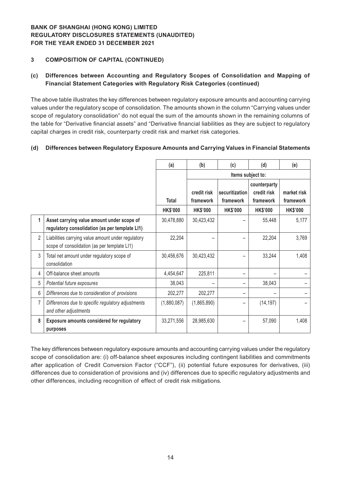### **3 COMPOSITION OF CAPITAL (CONTINUED)**

### **(c) Differences between Accounting and Regulatory Scopes of Consolidation and Mapping of Financial Statement Categories with Regulatory Risk Categories (continued)**

The above table illustrates the key differences between regulatory exposure amounts and accounting carrying values under the regulatory scope of consolidation. The amounts shown in the column "Carrying values under scope of regulatory consolidation" do not equal the sum of the amounts shown in the remaining columns of the table for "Derivative financial assets" and "Derivative financial liabilities as they are subject to regulatory capital charges in credit risk, counterparty credit risk and market risk categories.

#### **(d) Differences between Regulatory Exposure Amounts and Carrying Values in Financial Statements**

|                |                                                                                                    | (a)             | (b)                      | (c)                         | (d)                                      | (e)                      |
|----------------|----------------------------------------------------------------------------------------------------|-----------------|--------------------------|-----------------------------|------------------------------------------|--------------------------|
|                |                                                                                                    |                 |                          |                             | Items subject to:                        |                          |
|                |                                                                                                    | <b>Total</b>    | credit risk<br>framework | securitization<br>framework | counterparty<br>credit risk<br>framework | market risk<br>framework |
|                |                                                                                                    | <b>HK\$'000</b> | <b>HK\$'000</b>          | <b>HK\$'000</b>             | <b>HK\$'000</b>                          | <b>HK\$'000</b>          |
| 1              | Asset carrying value amount under scope of<br>regulatory consolidation (as per template LI1)       | 30,478,880      | 30,423,432               |                             | 55,448                                   | 5,177                    |
| $\overline{2}$ | Liabilities carrying value amount under regulatory<br>scope of consolidation (as per template LI1) | 22,204          |                          |                             | 22,204                                   | 3,769                    |
| 3              | Total net amount under regulatory scope of<br>consolidation                                        | 30,456,676      | 30,423,432               |                             | 33,244                                   | 1,408                    |
| 4              | Off-balance sheet amounts                                                                          | 4,454,647       | 225,811                  |                             |                                          |                          |
| 5              | Potential future exposures                                                                         | 38,043          |                          |                             | 38,043                                   |                          |
| 6              | Differences due to consideration of provisions                                                     | 202,277         | 202,277                  |                             |                                          |                          |
| 7              | Differences due to specific regulatory adjustments<br>and other adjustments                        | (1,880,087)     | (1,865,890)              |                             | (14, 197)                                |                          |
| 8              | <b>Exposure amounts considered for regulatory</b><br>purposes                                      | 33,271,556      | 28,985,630               |                             | 57,090                                   | 1,408                    |

The key differences between regulatory exposure amounts and accounting carrying values under the regulatory scope of consolidation are: (i) off-balance sheet exposures including contingent liabilities and commitments after application of Credit Conversion Factor ("CCF"), (ii) potential future exposures for derivatives, (iii) differences due to consideration of provisions and (iv) differences due to specific regulatory adjustments and other differences, including recognition of effect of credit risk mitigations.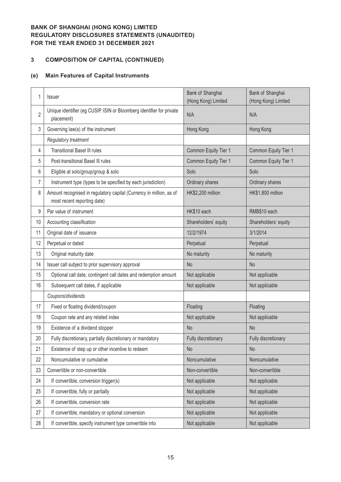# **3 COMPOSITION OF CAPITAL (CONTINUED)**

# **(e) Main Features of Capital Instruments**

| 1              | <b>Issuer</b>                                                                                      | Bank of Shanghai<br>(Hong Kong) Limited | Bank of Shanghai<br>(Hong Kong) Limited |
|----------------|----------------------------------------------------------------------------------------------------|-----------------------------------------|-----------------------------------------|
| $\overline{2}$ | Unique identifier (eg CUSIP. ISIN or Bloomberg identifier for private<br>placement)                | N/A                                     | N/A                                     |
| 3              | Governing law(s) of the instrument                                                                 | Hong Kong                               | Hong Kong                               |
|                | Regulatory treatment                                                                               |                                         |                                         |
| 4              | <b>Transitional Basel III rules</b>                                                                | Common Equity Tier 1                    | Common Equity Tier 1                    |
| 5              | Post-transitional Basel III rules                                                                  | Common Equity Tier 1                    | Common Equity Tier 1                    |
| 6              | Eligible at solo/group/group & solo                                                                | Solo                                    | Solo                                    |
| 7              | Instrument type (types to be specified by each jurisdiction)                                       | Ordinary shares                         | Ordinary shares                         |
| 8              | Amount recognised in regulatory capital (Currency in million, as of<br>most recent reporting date) | HK\$2,200 million                       | HK\$1,800 million                       |
| 9              | Par value of instrument                                                                            | HK\$10 each                             | RMB\$10 each                            |
| 10             | Accounting classification                                                                          | Shareholders' equity                    | Shareholders' equity                    |
| 11             | Original date of issuance                                                                          | 12/2/1974                               | 3/1/2014                                |
| 12             | Perpetual or dated                                                                                 | Perpetual                               | Perpetual                               |
| 13             | Original maturity date                                                                             | No maturity                             | No maturity                             |
| 14             | Issuer call subject to prior supervisory approval                                                  | <b>No</b>                               | <b>No</b>                               |
| 15             | Optional call date, contingent call dates and redemption amount                                    | Not applicable                          | Not applicable                          |
| 16             | Subsequent call dates, if applicable                                                               | Not applicable                          | Not applicable                          |
|                | Coupons/dividends                                                                                  |                                         |                                         |
| 17             | Fixed or floating dividend/coupon                                                                  | Floating                                | Floating                                |
| 18             | Coupon rate and any related index                                                                  | Not applicable                          | Not applicable                          |
| 19             | Existence of a dividend stopper                                                                    | <b>No</b>                               | <b>No</b>                               |
| 20             | Fully discretionary, partially discretionary or mandatory                                          | Fully discretionary                     | Fully discretionary                     |
| 21             | Existence of step up or other incentive to redeem                                                  | <b>No</b>                               | <b>No</b>                               |
| 22             | Noncumulative or cumulative                                                                        | Noncumulative                           | Noncumulative                           |
| 23             | Convertible or non-convertible                                                                     | Non-convertible                         | Non-convertible                         |
| 24             | If convertible, conversion trigger(s)                                                              | Not applicable                          | Not applicable                          |
| 25             | If convertible, fully or partially                                                                 | Not applicable                          | Not applicable                          |
| 26             | If convertible, conversion rate                                                                    | Not applicable                          | Not applicable                          |
| 27             | If convertible, mandatory or optional conversion                                                   | Not applicable                          | Not applicable                          |
| 28             | If convertible, specify instrument type convertible into                                           | Not applicable                          | Not applicable                          |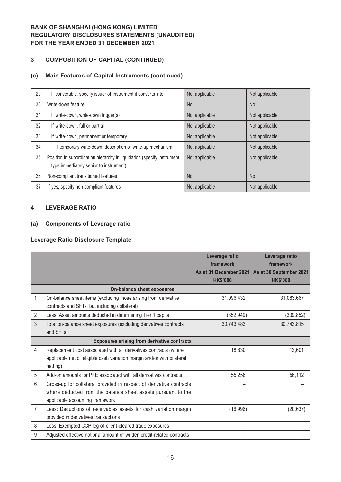# **3 COMPOSITION OF CAPITAL (CONTINUED)**

### **(e) Main Features of Capital Instruments (continued)**

| 29 | If convertible, specify issuer of instrument it converts into                                                    | Not applicable | Not applicable |
|----|------------------------------------------------------------------------------------------------------------------|----------------|----------------|
| 30 | Write-down feature                                                                                               | <b>No</b>      | <b>No</b>      |
| 31 | If write-down, write-down trigger(s)                                                                             | Not applicable | Not applicable |
| 32 | If write-down, full or partial                                                                                   | Not applicable | Not applicable |
| 33 | If write-down, permanent or temporary                                                                            | Not applicable | Not applicable |
| 34 | If temporary write-down, description of write-up mechanism                                                       | Not applicable | Not applicable |
| 35 | Position in subordination hierarchy in liquidation (specify instrument<br>type immediately senior to instrument) | Not applicable | Not applicable |
| 36 | Non-compliant transitioned features                                                                              | <b>No</b>      | N <sub>o</sub> |
| 37 | If yes, specify non-compliant features                                                                           | Not applicable | Not applicable |

#### **4 LEVERAGE RATIO**

### **(a) Components of Leverage ratio**

#### **Leverage Ratio Disclosure Template**

|   |                                                                                                                                                                        | Leverage ratio<br>framework               | Leverage ratio<br>framework                |
|---|------------------------------------------------------------------------------------------------------------------------------------------------------------------------|-------------------------------------------|--------------------------------------------|
|   |                                                                                                                                                                        | As at 31 December 2021<br><b>HK\$'000</b> | As at 30 September 2021<br><b>HK\$'000</b> |
|   | On-balance sheet exposures                                                                                                                                             |                                           |                                            |
| 1 | On-balance sheet items (excluding those arising from derivative<br>contracts and SFTs, but including collateral)                                                       | 31,096,432                                | 31,083,667                                 |
| 2 | Less: Asset amounts deducted in determining Tier 1 capital                                                                                                             | (352, 949)                                | (339, 852)                                 |
| 3 | Total on-balance sheet exposures (excluding derivatives contracts<br>and SFTs)                                                                                         | 30,743,483                                | 30,743,815                                 |
|   | <b>Exposures arising from derivative contracts</b>                                                                                                                     |                                           |                                            |
| 4 | Replacement cost associated with all derivatives contracts (where<br>applicable net of eligible cash variation margin and/or with bilateral<br>netting)                | 18,830                                    | 13,601                                     |
| 5 | Add-on amounts for PFE associated with all derivatives contracts                                                                                                       | 55,256                                    | 56,112                                     |
| 6 | Gross-up for collateral provided in respect of derivative contracts<br>where deducted from the balance sheet assets pursuant to the<br>applicable accounting framework |                                           |                                            |
| 7 | Less: Deductions of receivables assets for cash variation margin<br>provided in derivatives transactions                                                               | (16,996)                                  | (20, 637)                                  |
| 8 | Less: Exempted CCP leg of client-cleared trade exposures                                                                                                               |                                           |                                            |
| 9 | Adjusted effective notional amount of written credit-related contracts                                                                                                 |                                           |                                            |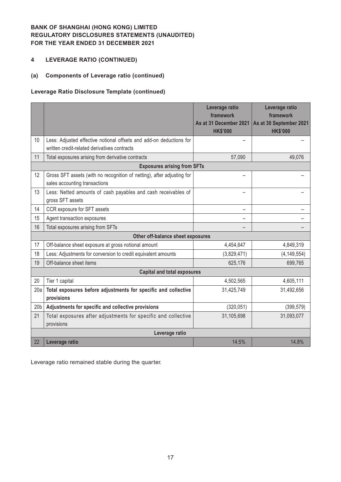# **4 LEVERAGE RATIO (CONTINUED)**

#### **(a) Components of Leverage ratio (continued)**

### **Leverage Ratio Disclosure Template (continued)**

|                 |                                                                                                                     | Leverage ratio<br>framework<br>As at 31 December 2021<br><b>HK\$'000</b> | Leverage ratio<br>framework<br>As at 30 September 2021<br><b>HK\$'000</b> |
|-----------------|---------------------------------------------------------------------------------------------------------------------|--------------------------------------------------------------------------|---------------------------------------------------------------------------|
| 10              | Less: Adjusted effective notional offsets and add-on deductions for<br>written credit-related derivatives contracts |                                                                          |                                                                           |
| 11              | Total exposures arising from derivative contracts                                                                   | 57,090                                                                   | 49,076                                                                    |
|                 | <b>Exposures arising from SFTs</b>                                                                                  |                                                                          |                                                                           |
| 12              | Gross SFT assets (with no recognition of netting), after adjusting for<br>sales accounting transactions             |                                                                          |                                                                           |
| 13              | Less: Netted amounts of cash payables and cash receivables of<br>gross SFT assets                                   |                                                                          |                                                                           |
| 14              | CCR exposure for SFT assets                                                                                         |                                                                          |                                                                           |
| 15              | Agent transaction exposures                                                                                         |                                                                          |                                                                           |
| 16              | Total exposures arising from SFTs                                                                                   |                                                                          |                                                                           |
|                 | Other off-balance sheet exposures                                                                                   |                                                                          |                                                                           |
| 17              | Off-balance sheet exposure at gross notional amount                                                                 | 4,454,647                                                                | 4,849,319                                                                 |
| 18              | Less: Adjustments for conversion to credit equivalent amounts                                                       | (3,829,471)                                                              | (4, 149, 554)                                                             |
| 19              | Off-balance sheet items                                                                                             | 625,176                                                                  | 699,765                                                                   |
|                 | <b>Capital and total exposures</b>                                                                                  |                                                                          |                                                                           |
| 20              | Tier 1 capital                                                                                                      | 4,502,565                                                                | 4,605,111                                                                 |
| 20a             | Total exposures before adjustments for specific and collective<br>provisions                                        | 31,425,749                                                               | 31,492,656                                                                |
| 20 <sub>b</sub> | Adjustments for specific and collective provisions                                                                  | (320, 051)                                                               | (399, 579)                                                                |
| 21              | Total exposures after adjustments for specific and collective<br>provisions                                         | 31,105,698                                                               | 31,093,077                                                                |
|                 | Leverage ratio                                                                                                      |                                                                          |                                                                           |
| 22              | Leverage ratio                                                                                                      | 14.5%                                                                    | 14.8%                                                                     |

Leverage ratio remained stable during the quarter.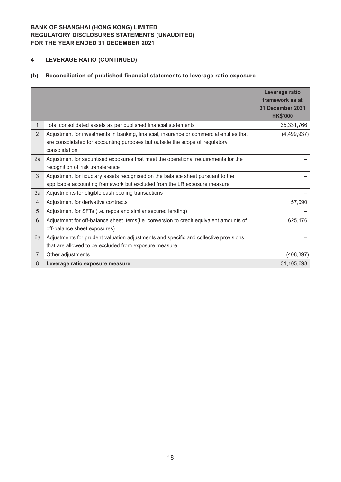# **4 LEVERAGE RATIO (CONTINUED)**

# **(b) Reconciliation of published financial statements to leverage ratio exposure**

|                |                                                                                                                                                                                          | Leverage ratio<br>framework as at<br>31 December 2021<br><b>HK\$'000</b> |
|----------------|------------------------------------------------------------------------------------------------------------------------------------------------------------------------------------------|--------------------------------------------------------------------------|
| 1              | Total consolidated assets as per published financial statements                                                                                                                          | 35,331,766                                                               |
| $\overline{2}$ | Adjustment for investments in banking, financial, insurance or commercial entities that<br>are consolidated for accounting purposes but outside the scope of regulatory<br>consolidation | (4,499,937)                                                              |
| 2a             | Adjustment for securitised exposures that meet the operational requirements for the<br>recognition of risk transference                                                                  |                                                                          |
| 3              | Adjustment for fiduciary assets recognised on the balance sheet pursuant to the<br>applicable accounting framework but excluded from the LR exposure measure                             |                                                                          |
| 3a             | Adjustments for eligible cash pooling transactions                                                                                                                                       |                                                                          |
| $\overline{4}$ | Adjustment for derivative contracts                                                                                                                                                      | 57,090                                                                   |
| 5              | Adjustment for SFTs (i.e. repos and similar secured lending)                                                                                                                             |                                                                          |
| 6              | Adjustment for off-balance sheet items(i.e. conversion to credit equivalent amounts of<br>off-balance sheet exposures)                                                                   | 625,176                                                                  |
| 6a             | Adjustments for prudent valuation adjustments and specific and collective provisions<br>that are allowed to be excluded from exposure measure                                            |                                                                          |
| 7              | Other adjustments                                                                                                                                                                        | (408, 397)                                                               |
| 8              | Leverage ratio exposure measure                                                                                                                                                          | 31,105,698                                                               |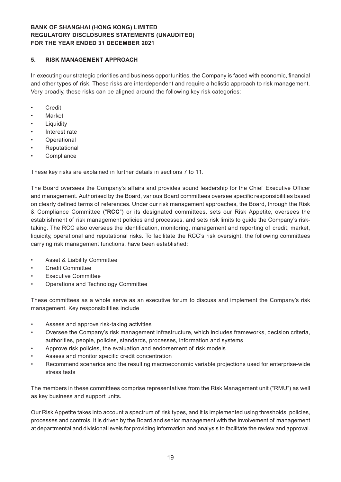#### **5. RISK MANAGEMENT APPROACH**

In executing our strategic priorities and business opportunities, the Company is faced with economic, financial and other types of risk. These risks are interdependent and require a holistic approach to risk management. Very broadly, these risks can be aligned around the following key risk categories:

- • Credit
- **Market**
- **Liquidity**
- Interest rate
- **Operational**
- **Reputational**
- **Compliance**

These key risks are explained in further details in sections 7 to 11.

The Board oversees the Company's affairs and provides sound leadership for the Chief Executive Officer and management. Authorised by the Board, various Board committees oversee specific responsibilities based on clearly defined terms of references. Under our risk management approaches, the Board, through the Risk & Compliance Committee ("**RCC**") or its designated committees, sets our Risk Appetite, oversees the establishment of risk management policies and processes, and sets risk limits to guide the Company's risktaking. The RCC also oversees the identification, monitoring, management and reporting of credit, market, liquidity, operational and reputational risks. To facilitate the RCC's risk oversight, the following committees carrying risk management functions, have been established:

- Asset & Liability Committee
- **Credit Committee**
- **Executive Committee**
- Operations and Technology Committee

These committees as a whole serve as an executive forum to discuss and implement the Company's risk management. Key responsibilities include

- Assess and approve risk-taking activities
- Oversee the Company's risk management infrastructure, which includes frameworks, decision criteria, authorities, people, policies, standards, processes, information and systems
- Approve risk policies, the evaluation and endorsement of risk models
- Assess and monitor specific credit concentration
- Recommend scenarios and the resulting macroeconomic variable projections used for enterprise-wide stress tests

The members in these committees comprise representatives from the Risk Management unit ("RMU") as well as key business and support units.

Our Risk Appetite takes into account a spectrum of risk types, and it is implemented using thresholds, policies, processes and controls. It is driven by the Board and senior management with the involvement of management at departmental and divisional levels for providing information and analysis to facilitate the review and approval.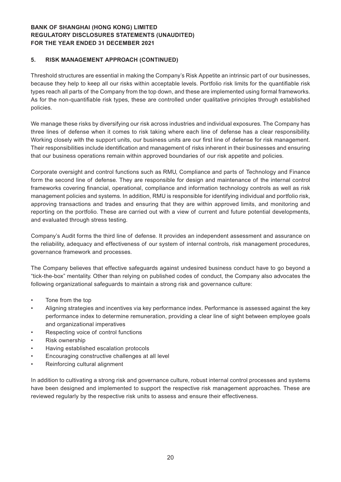#### **5. RISK MANAGEMENT APPROACH (CONTINUED)**

Threshold structures are essential in making the Company's Risk Appetite an intrinsic part of our businesses, because they help to keep all our risks within acceptable levels. Portfolio risk limits for the quantifiable risk types reach all parts of the Company from the top down, and these are implemented using formal frameworks. As for the non-quantifiable risk types, these are controlled under qualitative principles through established policies.

We manage these risks by diversifying our risk across industries and individual exposures. The Company has three lines of defense when it comes to risk taking where each line of defense has a clear responsibility. Working closely with the support units, our business units are our first line of defense for risk management. Their responsibilities include identification and management of risks inherent in their businesses and ensuring that our business operations remain within approved boundaries of our risk appetite and policies.

Corporate oversight and control functions such as RMU, Compliance and parts of Technology and Finance form the second line of defense. They are responsible for design and maintenance of the internal control frameworks covering financial, operational, compliance and information technology controls as well as risk management policies and systems. In addition, RMU is responsible for identifying individual and portfolio risk, approving transactions and trades and ensuring that they are within approved limits, and monitoring and reporting on the portfolio. These are carried out with a view of current and future potential developments, and evaluated through stress testing.

Company's Audit forms the third line of defense. It provides an independent assessment and assurance on the reliability, adequacy and effectiveness of our system of internal controls, risk management procedures, governance framework and processes.

The Company believes that effective safeguards against undesired business conduct have to go beyond a "tick-the-box" mentality. Other than relying on published codes of conduct, the Company also advocates the following organizational safeguards to maintain a strong risk and governance culture:

- • Tone from the top
- Aligning strategies and incentives via key performance index. Performance is assessed against the key performance index to determine remuneration, providing a clear line of sight between employee goals and organizational imperatives
- Respecting voice of control functions
- Risk ownership
- Having established escalation protocols
- Encouraging constructive challenges at all level
- Reinforcing cultural alignment

In addition to cultivating a strong risk and governance culture, robust internal control processes and systems have been designed and implemented to support the respective risk management approaches. These are reviewed regularly by the respective risk units to assess and ensure their effectiveness.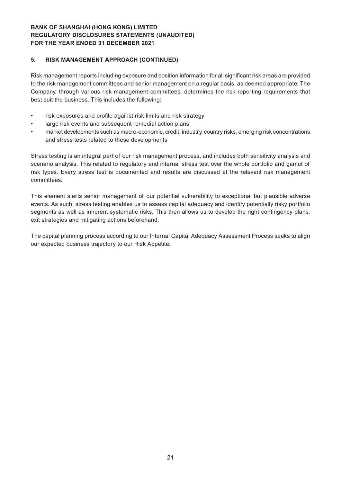#### **5. RISK MANAGEMENT APPROACH (CONTINUED)**

Risk management reports including exposure and position information for all significant risk areas are provided to the risk management committees and senior management on a regular basis, as deemed appropriate. The Company, through various risk management committees, determines the risk reporting requirements that best suit the business. This includes the following:

- risk exposures and profile against risk limits and risk strategy
- large risk events and subsequent remedial action plans
- market developments such as macro-economic, credit, industry, country risks, emerging risk concentrations and stress tests related to these developments

Stress testing is an integral part of our risk management process, and includes both sensitivity analysis and scenario analysis. This related to regulatory and internal stress test over the whole portfolio and gamut of risk types. Every stress test is documented and results are discussed at the relevant risk management committees.

This element alerts senior management of our potential vulnerability to exceptional but plausible adverse events. As such, stress testing enables us to assess capital adequacy and identify potentially risky portfolio segments as well as inherent systematic risks. This then allows us to develop the right contingency plans, exit strategies and mitigating actions beforehand.

The capital planning process according to our Internal Capital Adequacy Assessment Process seeks to align our expected business trajectory to our Risk Appetite.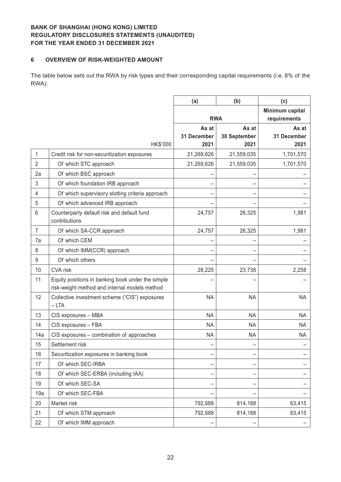#### **6 OVERVIEW OF RISK-WEIGHTED AMOUNT**

The table below sets out the RWA by risk types and their corresponding capital requirements (i.e. 8% of the RWA):

|                |                                                             | (a)         | (b)          | (c)                             |
|----------------|-------------------------------------------------------------|-------------|--------------|---------------------------------|
|                |                                                             | <b>RWA</b>  |              | Minimum capital<br>requirements |
|                |                                                             | As at       | As at        | As at                           |
|                |                                                             | 31 December | 30 September | 31 December                     |
|                | HK\$'000                                                    | 2021        | 2021         | 2021                            |
| 1              | Credit risk for non-securitization exposures                | 21,269,626  | 21,559,035   | 1,701,570                       |
| $\overline{2}$ | Of which STC approach                                       | 21,269,626  | 21,559,035   | 1,701,570                       |
| 2a             | Of which BSC approach                                       |             |              |                                 |
| 3              | Of which foundation IRB approach                            |             |              |                                 |
| 4              | Of which supervisory slotting criteria approach             |             |              |                                 |
| 5              | Of which advanced IRB approach                              |             |              |                                 |
| 6              | Counterparty default risk and default fund<br>contributions | 24,757      | 26,325       | 1,981                           |
| $\overline{7}$ | Of which SA-CCR approach                                    | 24,757      | 26,325       | 1,981                           |
| 7a             | Of which CEM                                                |             |              |                                 |
| 8              | Of which IMM(CCR) approach                                  |             |              |                                 |
| 9              | Of which others                                             |             |              |                                 |
| 10             | <b>CVA</b> risk                                             | 28,225      | 23,738       | 2,258                           |
| 11             | Equity positions in banking book under the simple           |             |              |                                 |
|                | risk-weight method and internal models method               |             |              |                                 |
| 12             | Collective investment scheme ("CIS") exposures<br>$-LTA$    | <b>NA</b>   | <b>NA</b>    | <b>NA</b>                       |
| 13             | CIS exposures - MBA                                         | <b>NA</b>   | <b>NA</b>    | <b>NA</b>                       |
| 14             | CIS exposures - FBA                                         | <b>NA</b>   | <b>NA</b>    | <b>NA</b>                       |
| 14a            | CIS exposures - combination of approaches                   | <b>NA</b>   | <b>NA</b>    | <b>NA</b>                       |
| 15             | Settlement risk                                             |             |              |                                 |
| 16             | Securitization exposures in banking book                    | -           |              |                                 |
| 17             | Of which SEC-IRBA                                           |             |              |                                 |
| 18             | Of which SEC-ERBA (including IAA)                           |             |              |                                 |
| 19             | Of which SEC-SA                                             |             |              |                                 |
| 19a            | Of which SEC-FBA                                            |             |              |                                 |
| 20             | Market risk                                                 | 792,688     | 814,188      | 63,415                          |
| 21             | Of which STM approach                                       | 792,688     | 814,188      | 63,415                          |
| 22             | Of which IMM approach                                       |             |              |                                 |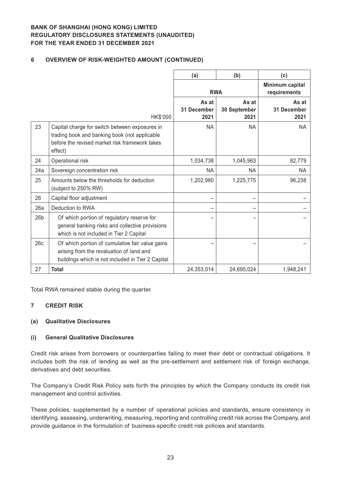### **6 OVERVIEW OF RISK-WEIGHTED AMOUNT (CONTINUED)**

|                 |                                                                                                                                                              | (a)                          | (b)                           | (c)                             |
|-----------------|--------------------------------------------------------------------------------------------------------------------------------------------------------------|------------------------------|-------------------------------|---------------------------------|
|                 |                                                                                                                                                              | <b>RWA</b>                   |                               | Minimum capital<br>requirements |
|                 | HK\$'000                                                                                                                                                     | As at<br>31 December<br>2021 | As at<br>30 September<br>2021 | As at<br>31 December<br>2021    |
| 23              | Capital charge for switch between exposures in<br>trading book and banking book (not applicable<br>before the revised market risk framework takes<br>effect) | <b>NA</b>                    | <b>NA</b>                     | <b>NA</b>                       |
| 24              | Operational risk                                                                                                                                             | 1,034,738                    | 1,045,963                     | 82,779                          |
| 24a             | Sovereign concentration risk                                                                                                                                 | NA.                          | NA                            | NA                              |
| 25              | Amounts below the thresholds for deduction<br>(subject to 250% RW)                                                                                           | 1,202,980                    | 1,225,775                     | 96,238                          |
| 26              | Capital floor adjustment                                                                                                                                     |                              |                               |                                 |
| 26a             | Deduction to RWA                                                                                                                                             |                              |                               |                                 |
| 26 <sub>b</sub> | Of which portion of regulatory reserve for<br>general banking risks and collective provisions<br>which is not included in Tier 2 Capital                     |                              |                               |                                 |
| 26c             | Of which portion of cumulative fair value gains<br>arising from the revaluation of land and<br>buildings which is not included in Tier 2 Capital             |                              |                               |                                 |
| 27              | <b>Total</b>                                                                                                                                                 | 24,353,014                   | 24,695,024                    | 1,948,241                       |

Total RWA remained stable during the quarter.

#### **7 CREDIT RISK**

#### **(a) Qualitative Disclosures**

#### **(i) General Qualitative Disclosures**

Credit risk arises from borrowers or counterparties failing to meet their debt or contractual obligations. It includes both the risk of lending as well as the pre-settlement and settlement risk of foreign exchange, derivatives and debt securities.

The Company's Credit Risk Policy sets forth the principles by which the Company conducts its credit risk management and control activities.

These policies, supplemented by a number of operational policies and standards, ensure consistency in identifying, assessing, underwriting, measuring, reporting and controlling credit risk across the Company, and provide guidance in the formulation of business-specific credit risk policies and standards.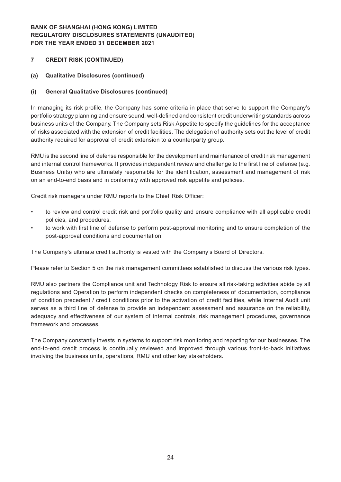#### **7 CREDIT RISK (CONTINUED)**

#### **(a) Qualitative Disclosures (continued)**

#### **(i) General Qualitative Disclosures (continued)**

In managing its risk profile, the Company has some criteria in place that serve to support the Company's portfolio strategy planning and ensure sound, well-defined and consistent credit underwriting standards across business units of the Company. The Company sets Risk Appetite to specify the guidelines for the acceptance of risks associated with the extension of credit facilities. The delegation of authority sets out the level of credit authority required for approval of credit extension to a counterparty group.

RMU is the second line of defense responsible for the development and maintenance of credit risk management and internal control frameworks. It provides independent review and challenge to the first line of defense (e.g. Business Units) who are ultimately responsible for the identification, assessment and management of risk on an end-to-end basis and in conformity with approved risk appetite and policies.

Credit risk managers under RMU reports to the Chief Risk Officer:

- to review and control credit risk and portfolio quality and ensure compliance with all applicable credit policies, and procedures.
- to work with first line of defense to perform post-approval monitoring and to ensure completion of the post-approval conditions and documentation

The Company's ultimate credit authority is vested with the Company's Board of Directors.

Please refer to Section 5 on the risk management committees established to discuss the various risk types.

RMU also partners the Compliance unit and Technology Risk to ensure all risk-taking activities abide by all regulations and Operation to perform independent checks on completeness of documentation, compliance of condition precedent / credit conditions prior to the activation of credit facilities, while Internal Audit unit serves as a third line of defense to provide an independent assessment and assurance on the reliability, adequacy and effectiveness of our system of internal controls, risk management procedures, governance framework and processes.

The Company constantly invests in systems to support risk monitoring and reporting for our businesses. The end-to-end credit process is continually reviewed and improved through various front-to-back initiatives involving the business units, operations, RMU and other key stakeholders.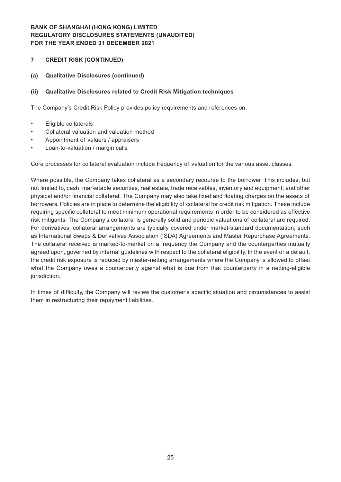#### **7 CREDIT RISK (CONTINUED)**

#### **(a) Qualitative Disclosures (continued)**

#### **(ii) Qualitative Disclosures related to Credit Risk Mitigation techniques**

The Company's Credit Risk Policy provides policy requirements and references on:

- • Eligible collaterals
- Collateral valuation and valuation method
- Appointment of valuers / appraisers
- Loan-to-valuation / margin calls

Core processes for collateral evaluation include frequency of valuation for the various asset classes.

Where possible, the Company takes collateral as a secondary recourse to the borrower. This includes, but not limited to, cash, marketable securities, real estate, trade receivables, inventory and equipment, and other physical and/or financial collateral. The Company may also take fixed and floating charges on the assets of borrowers. Policies are in place to determine the eligibility of collateral for credit risk mitigation. These include requiring specific collateral to meet minimum operational requirements in order to be considered as effective risk mitigants. The Company's collateral is generally solid and periodic valuations of collateral are required. For derivatives, collateral arrangements are typically covered under market-standard documentation, such as International Swaps & Derivatives Association (ISDA) Agreements and Master Repurchase Agreements. The collateral received is marked-to-market on a frequency the Company and the counterparties mutually agreed upon, governed by internal guidelines with respect to the collateral eligibility. In the event of a default, the credit risk exposure is reduced by master-netting arrangements where the Company is allowed to offset what the Company owes a counterparty against what is due from that counterparty in a netting-eligible jurisdiction.

In times of difficulty, the Company will review the customer's specific situation and circumstances to assist them in restructuring their repayment liabilities.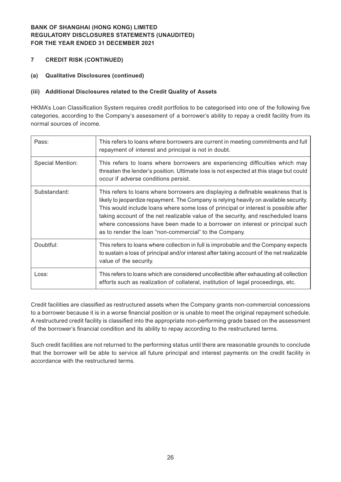- **7 CREDIT RISK (CONTINUED)**
- **(a) Qualitative Disclosures (continued)**

### **(iii) Additional Disclosures related to the Credit Quality of Assets**

HKMA's Loan Classification System requires credit portfolios to be categorised into one of the following five categories, according to the Company's assessment of a borrower's ability to repay a credit facility from its normal sources of income.

| Pass:            | This refers to loans where borrowers are current in meeting commitments and full<br>repayment of interest and principal is not in doubt.                                                                                                                                                                                                                                                                                                                                                        |
|------------------|-------------------------------------------------------------------------------------------------------------------------------------------------------------------------------------------------------------------------------------------------------------------------------------------------------------------------------------------------------------------------------------------------------------------------------------------------------------------------------------------------|
| Special Mention: | This refers to loans where borrowers are experiencing difficulties which may<br>threaten the lender's position. Ultimate loss is not expected at this stage but could<br>occur if adverse conditions persist.                                                                                                                                                                                                                                                                                   |
| Substandard:     | This refers to loans where borrowers are displaying a definable weakness that is<br>likely to jeopardize repayment. The Company is relying heavily on available security.<br>This would include loans where some loss of principal or interest is possible after<br>taking account of the net realizable value of the security, and rescheduled loans<br>where concessions have been made to a borrower on interest or principal such<br>as to render the loan "non-commercial" to the Company. |
| Doubtful:        | This refers to loans where collection in full is improbable and the Company expects<br>to sustain a loss of principal and/or interest after taking account of the net realizable<br>value of the security.                                                                                                                                                                                                                                                                                      |
| Loss:            | This refers to loans which are considered uncollectible after exhausting all collection<br>efforts such as realization of collateral, institution of legal proceedings, etc.                                                                                                                                                                                                                                                                                                                    |

Credit facilities are classified as restructured assets when the Company grants non-commercial concessions to a borrower because it is in a worse financial position or is unable to meet the original repayment schedule. A restructured credit facility is classified into the appropriate non-performing grade based on the assessment of the borrower's financial condition and its ability to repay according to the restructured terms.

Such credit facilities are not returned to the performing status until there are reasonable grounds to conclude that the borrower will be able to service all future principal and interest payments on the credit facility in accordance with the restructured terms.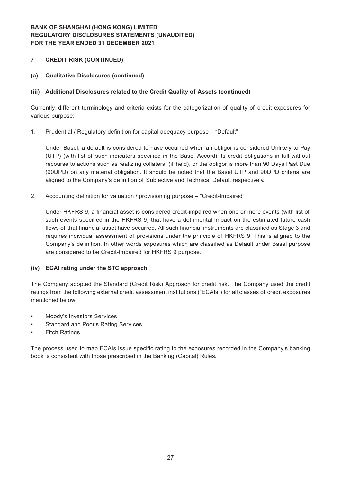#### **7 CREDIT RISK (CONTINUED)**

**(a) Qualitative Disclosures (continued)**

#### **(iii) Additional Disclosures related to the Credit Quality of Assets (continued)**

Currently, different terminology and criteria exists for the categorization of quality of credit exposures for various purpose:

1. Prudential / Regulatory definition for capital adequacy purpose - "Default"

Under Basel, a default is considered to have occurred when an obligor is considered Unlikely to Pay (UTP) (with list of such indicators specified in the Basel Accord) its credit obligations in full without recourse to actions such as realizing collateral (if held), or the obligor is more than 90 Days Past Due (90DPD) on any material obligation. It should be noted that the Basel UTP and 90DPD criteria are aligned to the Company's definition of Subjective and Technical Default respectively.

2. Accounting definition for valuation / provisioning purpose – "Credit-Impaired"

Under HKFRS 9, a financial asset is considered credit-impaired when one or more events (with list of such events specified in the HKFRS 9) that have a detrimental impact on the estimated future cash flows of that financial asset have occurred. All such financial instruments are classified as Stage 3 and requires individual assessment of provisions under the principle of HKFRS 9. This is aligned to the Company's definition. In other words exposures which are classified as Default under Basel purpose are considered to be Credit-Impaired for HKFRS 9 purpose.

#### **(iv) ECAI rating under the STC approach**

The Company adopted the Standard (Credit Risk) Approach for credit risk. The Company used the credit ratings from the following external credit assessment institutions ("ECAIs") for all classes of credit exposures mentioned below:

- • Moody's Investors Services
- Standard and Poor's Rating Services
- **Fitch Ratings**

The process used to map ECAIs issue specific rating to the exposures recorded in the Company's banking book is consistent with those prescribed in the Banking (Capital) Rules.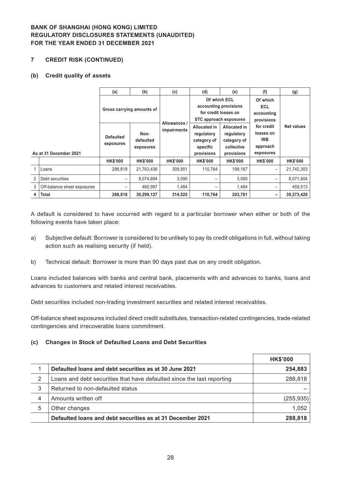#### **7 CREDIT RISK (CONTINUED)**

#### **(b) Credit quality of assets**

|                        |                             | (a)                           | (b)                            | (c)                         | (d)                                                                                                                                           | (e)                                                                          | (f)                                                            | (g)             |
|------------------------|-----------------------------|-------------------------------|--------------------------------|-----------------------------|-----------------------------------------------------------------------------------------------------------------------------------------------|------------------------------------------------------------------------------|----------------------------------------------------------------|-----------------|
| As at 31 December 2021 |                             | Gross carrying amounts of     |                                |                             | Of which ECL<br>Of which<br>accounting provisions<br><b>ECL</b><br>for credit losses on<br>accounting<br>STC approach exposures<br>provisions |                                                                              |                                                                |                 |
|                        |                             | <b>Defaulted</b><br>exposures | Non-<br>defaulted<br>exposures | Allowances /<br>impairments | Allocated in<br>regulatory<br>category of<br>specific<br>provisions                                                                           | <b>Allocated in</b><br>regulatory<br>category of<br>collective<br>provisions | for credit<br>losses on<br><b>IRB</b><br>approach<br>exposures | Net values      |
|                        |                             | <b>HK\$'000</b>               | <b>HK\$'000</b>                | <b>HK\$'000</b>             | <b>HK\$'000</b>                                                                                                                               | <b>HK\$'000</b>                                                              | <b>HK\$'000</b>                                                | <b>HK\$'000</b> |
|                        | Loans                       | 288,818                       | 21,763,436                     | 309,951                     | 110.764                                                                                                                                       | 199,187                                                                      | $\qquad \qquad -$                                              | 21,742,303      |
| 2                      | Debt securities             |                               | 8,074,694                      | 3.090                       | —                                                                                                                                             | 3,090                                                                        | —                                                              | 8,071,604       |
| 3                      | Off-balance sheet exposures |                               | 460.997                        | 1,484                       | —                                                                                                                                             | 1,484                                                                        | $\overline{\phantom{0}}$                                       | 459,513         |
| 4                      | <b>Total</b>                | 288,818                       | 30,299,127                     | 314,525                     | 110.764                                                                                                                                       | 203,761                                                                      | -                                                              | 30,273,420      |

A default is considered to have occurred with regard to a particular borrower when either or both of the following events have taken place:

- a) Subjective default: Borrower is considered to be unlikely to pay its credit obligations in full, without taking action such as realising security (if held).
- b) Technical default: Borrower is more than 90 days past due on any credit obligation.

Loans included balances with banks and central bank, placements with and advances to banks, loans and advances to customers and related interest receivables.

Debt securities included non-trading investment securities and related interest receivables.

Off-balance sheet exposures included direct credit substitutes, transaction-related contingencies, trade-related contingencies and irrecoverable loans commitment.

#### **(c) Changes in Stock of Defaulted Loans and Debt Securities**

|   |                                                                        | <b>HK\$'000</b> |
|---|------------------------------------------------------------------------|-----------------|
|   | Defaulted loans and debt securities as at 30 June 2021                 | 254,883         |
| 2 | Loans and debt securities that have defaulted since the last reporting | 288,818         |
| 3 | Returned to non-defaulted status                                       |                 |
| 4 | Amounts written off                                                    | (255, 935)      |
| 5 | Other changes                                                          | 1,052           |
|   | Defaulted loans and debt securities as at 31 December 2021             | 288,818         |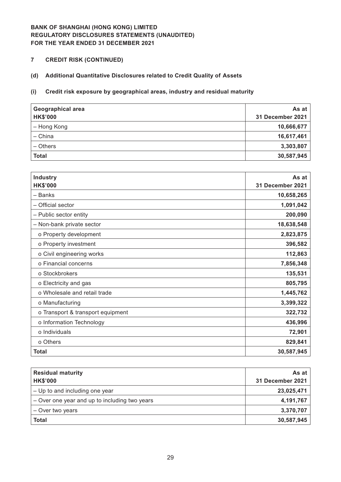# **7 CREDIT RISK (CONTINUED)**

# **(d) Additional Quantitative Disclosures related to Credit Quality of Assets**

# **(i) Credit risk exposure by geographical areas, industry and residual maturity**

| <b>Geographical area</b><br><b>HK\$'000</b> | As at<br>31 December 2021 |
|---------------------------------------------|---------------------------|
| - Hong Kong                                 | 10,666,677                |
| - China                                     | 16,617,461                |
| - Others                                    | 3,303,807                 |
| <b>Total</b>                                | 30,587,945                |

| <b>Industry</b>                   | As at            |
|-----------------------------------|------------------|
| <b>HK\$'000</b>                   | 31 December 2021 |
| - Banks                           | 10,658,265       |
| - Official sector                 | 1,091,042        |
| - Public sector entity            | 200,090          |
| - Non-bank private sector         | 18,638,548       |
| o Property development            | 2,823,875        |
| o Property investment             | 396,582          |
| o Civil engineering works         | 112,863          |
| o Financial concerns              | 7,856,348        |
| o Stockbrokers                    | 135,531          |
| o Electricity and gas             | 805,795          |
| o Wholesale and retail trade      | 1,445,762        |
| o Manufacturing                   | 3,399,322        |
| o Transport & transport equipment | 322,732          |
| o Information Technology          | 436,996          |
| o Individuals                     | 72,901           |
| o Others                          | 829,841          |
| <b>Total</b>                      | 30,587,945       |

| <b>Residual maturity</b><br><b>HK\$'000</b>   | As at<br>31 December 2021 |
|-----------------------------------------------|---------------------------|
| - Up to and including one year                | 23,025,471                |
| - Over one year and up to including two years | 4,191,767                 |
| - Over two years                              | 3,370,707                 |
| <b>Total</b>                                  | 30,587,945                |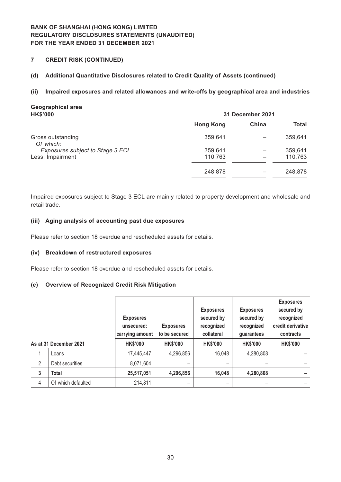**7 CREDIT RISK (CONTINUED)**

### **(d) Additional Quantitative Disclosures related to Credit Quality of Assets (continued)**

#### **(ii) Impaired exposures and related allowances and write-offs by geographical area and industries**

**Ho**ngrid **C** 

248,878

| <b>Geographical area</b><br><b>HK\$'000</b> |                  | 31 December 2021 |         |
|---------------------------------------------|------------------|------------------|---------|
|                                             | <b>Hong Kong</b> | China            | Total   |
| Gross outstanding<br>Of which:              | 359,641          |                  | 359,641 |
| Exposures subject to Stage 3 ECL            | 359,641          |                  | 359,641 |
| Less: Impairment                            | 110,763          |                  | 110,763 |
|                                             | 248,878          |                  | 248,878 |
|                                             |                  |                  |         |

Impaired exposures subject to Stage 3 ECL are mainly related to property development and wholesale and retail trade.

#### **(iii) Aging analysis of accounting past due exposures**

Please refer to section 18 overdue and rescheduled assets for details.

#### **(iv) Breakdown of restructured exposures**

Please refer to section 18 overdue and rescheduled assets for details.

#### **(e) Overview of Recognized Credit Risk Mitigation**

|                |                        | <b>Exposures</b><br>unsecured:<br>carrying amount | <b>Exposures</b><br>to be secured | <b>Exposures</b><br>secured by<br>recognized<br>collateral | <b>Exposures</b><br>secured by<br>recognized<br>guarantees | <b>Exposures</b><br>secured by<br>recognized<br>credit derivative<br>contracts |
|----------------|------------------------|---------------------------------------------------|-----------------------------------|------------------------------------------------------------|------------------------------------------------------------|--------------------------------------------------------------------------------|
|                | As at 31 December 2021 | <b>HK\$'000</b>                                   | <b>HK\$'000</b>                   | <b>HK\$'000</b>                                            | <b>HK\$'000</b>                                            | <b>HK\$'000</b>                                                                |
|                | Loans                  | 17,445,447                                        | 4,296,856                         | 16,048                                                     | 4,280,808                                                  |                                                                                |
| $\overline{2}$ | Debt securities        | 8,071,604                                         |                                   |                                                            |                                                            |                                                                                |
| 3              | <b>Total</b>           | 25,517,051                                        | 4,296,856                         | 16,048                                                     | 4,280,808                                                  |                                                                                |
| 4              | Of which defaulted     | 214,811                                           |                                   |                                                            |                                                            |                                                                                |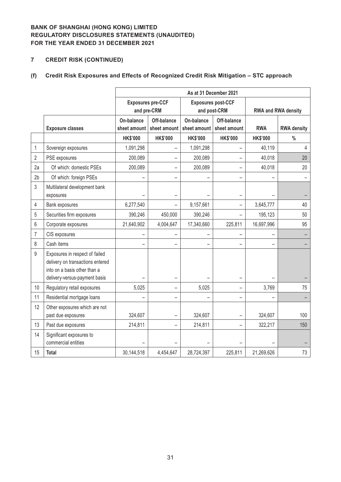# **7 CREDIT RISK (CONTINUED)**

# **(f) Credit Risk Exposures and Effects of Recognized Credit Risk Mitigation – STC approach**

|                |                                                                                                                                     | As at 31 December 2021     |                                         |                            |                                           |                 |                            |  |  |  |
|----------------|-------------------------------------------------------------------------------------------------------------------------------------|----------------------------|-----------------------------------------|----------------------------|-------------------------------------------|-----------------|----------------------------|--|--|--|
|                |                                                                                                                                     |                            | <b>Exposures pre-CCF</b><br>and pre-CRM |                            | <b>Exposures post-CCF</b><br>and post-CRM |                 | <b>RWA and RWA density</b> |  |  |  |
|                | <b>Exposure classes</b>                                                                                                             | On-balance<br>sheet amount | Off-balance<br>sheet amount             | On-balance<br>sheet amount | Off-balance<br>sheet amount               | <b>RWA</b>      | <b>RWA density</b>         |  |  |  |
|                |                                                                                                                                     | <b>HK\$'000</b>            | <b>HK\$'000</b>                         | <b>HK\$'000</b>            | <b>HK\$'000</b>                           | <b>HK\$'000</b> | $\%$                       |  |  |  |
| $\mathbf{1}$   | Sovereign exposures                                                                                                                 | 1,091,298                  |                                         | 1,091,298                  |                                           | 40,119          | $\overline{4}$             |  |  |  |
| $\overline{2}$ | PSE exposures                                                                                                                       | 200,089                    |                                         | 200,089                    |                                           | 40,018          | 20                         |  |  |  |
| 2a             | Of which: domestic PSEs                                                                                                             | 200,089                    |                                         | 200,089                    | $\overline{\phantom{0}}$                  | 40,018          | 20                         |  |  |  |
| 2 <sub>b</sub> | Of which: foreign PSEs                                                                                                              |                            |                                         |                            | $\overline{\phantom{0}}$                  |                 |                            |  |  |  |
| 3              | Multilateral development bank<br>exposures                                                                                          |                            |                                         |                            |                                           |                 |                            |  |  |  |
| 4              | Bank exposures                                                                                                                      | 6,277,540                  |                                         | 9,157,661                  |                                           | 3,645,777       | 40                         |  |  |  |
| 5              | Securities firm exposures                                                                                                           | 390,246                    | 450,000                                 | 390,246                    |                                           | 195,123         | 50                         |  |  |  |
| 6              | Corporate exposures                                                                                                                 | 21,640,902                 | 4,004,647                               | 17,340,660                 | 225,811                                   | 16,697,996      | 95                         |  |  |  |
| 7              | CIS exposures                                                                                                                       |                            |                                         |                            |                                           |                 |                            |  |  |  |
| 8              | Cash items                                                                                                                          |                            |                                         |                            |                                           |                 |                            |  |  |  |
| 9              | Exposures in respect of failed<br>delivery on transactions entered<br>into on a basis other than a<br>delivery-versus-payment basis |                            |                                         |                            |                                           |                 |                            |  |  |  |
| 10             | Regulatory retail exposures                                                                                                         | 5,025                      |                                         | 5,025                      | $\overline{\phantom{0}}$                  | 3,769           | 75                         |  |  |  |
| 11             | Residential mortgage loans                                                                                                          |                            |                                         |                            | $\overline{\phantom{0}}$                  |                 |                            |  |  |  |
| 12             | Other exposures which are not<br>past due exposures                                                                                 | 324,607                    |                                         | 324,607                    | -                                         | 324,607         | 100                        |  |  |  |
| 13             | Past due exposures                                                                                                                  | 214,811                    |                                         | 214,811                    | $\qquad \qquad -$                         | 322,217         | 150                        |  |  |  |
| 14             | Significant exposures to<br>commercial entities                                                                                     |                            |                                         |                            |                                           |                 |                            |  |  |  |
| 15             | <b>Total</b>                                                                                                                        | 30,144,518                 | 4,454,647                               | 28,724,397                 | 225,811                                   | 21,269,626      | 73                         |  |  |  |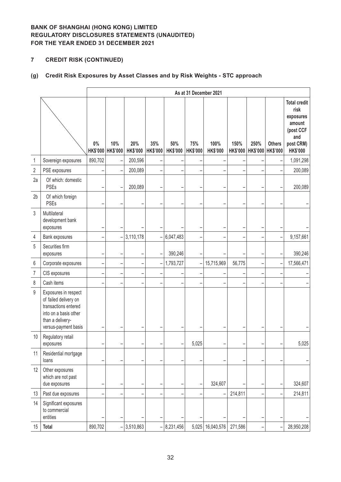# **7 CREDIT RISK (CONTINUED)**

# **(g) Credit Risk Exposures by Asset Classes and by Risk Weights - STC approach**

|                |                                                                                                                                            |         | As at 31 December 2021   |                          |                          |                        |                        |                              |         |                                    |               |                                                                                                        |
|----------------|--------------------------------------------------------------------------------------------------------------------------------------------|---------|--------------------------|--------------------------|--------------------------|------------------------|------------------------|------------------------------|---------|------------------------------------|---------------|--------------------------------------------------------------------------------------------------------|
|                |                                                                                                                                            | $0\%$   | 10%<br>HK\$'000 HK\$'000 | 20%<br><b>HK\$'000</b>   | 35%<br><b>HK\$'000</b>   | 50%<br><b>HK\$'000</b> | 75%<br><b>HK\$'000</b> | 100%<br><b>HK\$'000</b>      | 150%    | 250%<br>HK\$'000 HK\$'000 HK\$'000 | <b>Others</b> | <b>Total credit</b><br>risk<br>exposures<br>amount<br>(post CCF<br>and<br>post CRM)<br><b>HK\$'000</b> |
| 1              | Sovereign exposures                                                                                                                        | 890,702 |                          | 200,596                  |                          |                        |                        |                              |         |                                    |               | 1,091,298                                                                                              |
| $\overline{2}$ | PSE exposures                                                                                                                              |         |                          | 200,089                  |                          |                        |                        |                              |         |                                    |               | 200,089                                                                                                |
| 2a             | Of which: domestic<br><b>PSEs</b>                                                                                                          |         |                          | 200,089                  | -                        | -                      | ۳                      |                              |         |                                    |               | 200,089                                                                                                |
| 2 <sub>b</sub> | Of which foreign<br>PSEs                                                                                                                   |         |                          |                          |                          |                        |                        |                              |         |                                    |               |                                                                                                        |
| 3              | Multilateral<br>development bank<br>exposures                                                                                              |         |                          |                          |                          |                        |                        |                              |         |                                    |               |                                                                                                        |
| 4              | Bank exposures                                                                                                                             |         |                          | 3,110,178                | $\overline{\phantom{0}}$ | 6,047,483              |                        |                              |         |                                    |               | 9,157,661                                                                                              |
| 5              | Securities firm<br>exposures                                                                                                               |         |                          |                          | $\overline{\phantom{0}}$ | 390,246                |                        |                              |         |                                    |               | 390,246                                                                                                |
| $6\,$          | Corporate exposures                                                                                                                        |         | −                        |                          | $\overline{\phantom{0}}$ | 1,793,727              | $\overline{a}$         | 15,715,969                   | 56,775  |                                    |               | 17,566,471                                                                                             |
| $\overline{7}$ | CIS exposures                                                                                                                              |         | -                        | $\overline{\phantom{0}}$ | ۳                        | -                      | -                      |                              |         |                                    |               |                                                                                                        |
| 8              | Cash items                                                                                                                                 |         |                          |                          |                          |                        |                        |                              |         |                                    |               |                                                                                                        |
| $9\,$          | Exposures in respect<br>of failed delivery on<br>transactions entered<br>into on a basis other<br>than a delivery-<br>versus-payment basis |         |                          |                          |                          |                        |                        |                              |         |                                    |               |                                                                                                        |
| 10             | Regulatory retail<br>exposures                                                                                                             |         |                          |                          |                          |                        | 5,025                  |                              |         |                                    |               | 5,025                                                                                                  |
| 11             | Residential mortgage<br>loans                                                                                                              |         |                          |                          |                          |                        |                        |                              |         |                                    |               |                                                                                                        |
| 12             | Other exposures<br>which are not past<br>due exposures                                                                                     |         |                          |                          |                          |                        |                        | 324,607                      |         |                                    |               | 324,607                                                                                                |
| 13             | Past due exposures                                                                                                                         |         | -                        |                          |                          | -                      |                        |                              | 214,811 |                                    |               | 214,811                                                                                                |
| 14             | Significant exposures<br>to commercial<br>entities                                                                                         |         |                          |                          |                          |                        |                        |                              |         |                                    |               |                                                                                                        |
| 15             | <b>Total</b>                                                                                                                               | 890,702 | $\overline{\phantom{0}}$ | 3,510,863                |                          | $-$ 8,231,456          |                        | 5,025   16,040,576   271,586 |         |                                    |               | 28,950,208                                                                                             |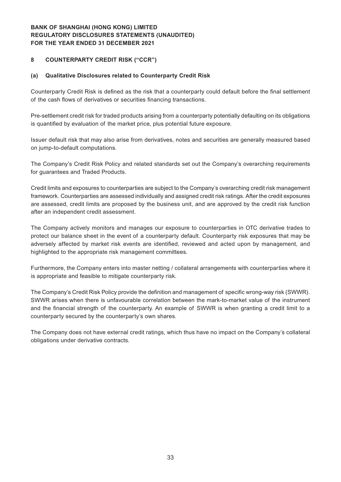#### **8 COUNTERPARTY CREDIT RISK ("CCR")**

#### **(a) Qualitative Disclosures related to Counterparty Credit Risk**

Counterparty Credit Risk is defined as the risk that a counterparty could default before the final settlement of the cash flows of derivatives or securities financing transactions.

Pre-settlement credit risk for traded products arising from a counterparty potentially defaulting on its obligations is quantified by evaluation of the market price, plus potential future exposure.

Issuer default risk that may also arise from derivatives, notes and securities are generally measured based on jump-to-default computations.

The Company's Credit Risk Policy and related standards set out the Company's overarching requirements for guarantees and Traded Products.

Credit limits and exposures to counterparties are subject to the Company's overarching credit risk management framework. Counterparties are assessed individually and assigned credit risk ratings. After the credit exposures are assessed, credit limits are proposed by the business unit, and are approved by the credit risk function after an independent credit assessment.

The Company actively monitors and manages our exposure to counterparties in OTC derivative trades to protect our balance sheet in the event of a counterparty default. Counterparty risk exposures that may be adversely affected by market risk events are identified, reviewed and acted upon by management, and highlighted to the appropriate risk management committees.

Furthermore, the Company enters into master netting / collateral arrangements with counterparties where it is appropriate and feasible to mitigate counterparty risk.

The Company's Credit Risk Policy provide the definition and management of specific wrong-way risk (SWWR). SWWR arises when there is unfavourable correlation between the mark-to-market value of the instrument and the financial strength of the counterparty. An example of SWWR is when granting a credit limit to a counterparty secured by the counterparty's own shares.

The Company does not have external credit ratings, which thus have no impact on the Company's collateral obligations under derivative contracts.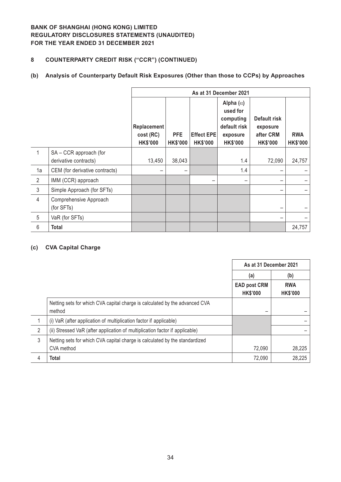# **8 COUNTERPARTY CREDIT RISK ("CCR") (CONTINUED)**

### **(b) Analysis of Counterparty Default Risk Exposures (Other than those to CCPs) by Approaches**

|                |                                                 | As at 31 December 2021                      |                               |                                      |                                                                                          |                                                          |                               |  |  |
|----------------|-------------------------------------------------|---------------------------------------------|-------------------------------|--------------------------------------|------------------------------------------------------------------------------------------|----------------------------------------------------------|-------------------------------|--|--|
|                |                                                 | Replacement<br>cost (RC)<br><b>HK\$'000</b> | <b>PFE</b><br><b>HK\$'000</b> | <b>Effect EPE</b><br><b>HK\$'000</b> | Alpha $(\alpha)$<br>used for<br>computing<br>default risk<br>exposure<br><b>HK\$'000</b> | Default risk<br>exposure<br>after CRM<br><b>HK\$'000</b> | <b>RWA</b><br><b>HK\$'000</b> |  |  |
| 1              | SA - CCR approach (for<br>derivative contracts) | 13,450                                      | 38,043                        |                                      | 1.4                                                                                      | 72,090                                                   | 24,757                        |  |  |
| 1a             | CEM (for derivative contracts)                  |                                             |                               |                                      | 1.4                                                                                      |                                                          |                               |  |  |
| $\overline{2}$ | IMM (CCR) approach                              |                                             |                               |                                      |                                                                                          |                                                          |                               |  |  |
|                |                                                 |                                             |                               |                                      |                                                                                          |                                                          |                               |  |  |
| $\mathfrak{Z}$ | Simple Approach (for SFTs)                      |                                             |                               |                                      |                                                                                          |                                                          |                               |  |  |
| $\overline{4}$ | Comprehensive Approach<br>(for SFTs)            |                                             |                               |                                      |                                                                                          |                                                          |                               |  |  |
| 5              | VaR (for SFTs)                                  |                                             |                               |                                      |                                                                                          |                                                          |                               |  |  |
| 6              | Total                                           |                                             |                               |                                      |                                                                                          |                                                          | 24,757                        |  |  |

#### **(c) CVA Capital Charge**

|   |                                                                                       | As at 31 December 2021                 |                               |
|---|---------------------------------------------------------------------------------------|----------------------------------------|-------------------------------|
|   |                                                                                       | (a)                                    | (b)                           |
|   |                                                                                       | <b>EAD post CRM</b><br><b>HK\$'000</b> | <b>RWA</b><br><b>HK\$'000</b> |
|   | Netting sets for which CVA capital charge is calculated by the advanced CVA<br>method |                                        |                               |
|   | (i) VaR (after application of multiplication factor if applicable)                    |                                        |                               |
| 2 | (ii) Stressed VaR (after application of multiplication factor if applicable)          |                                        |                               |
| 3 | Netting sets for which CVA capital charge is calculated by the standardized           |                                        |                               |
|   | CVA method                                                                            | 72,090                                 | 28,225                        |
| 4 | <b>Total</b>                                                                          | 72,090                                 | 28,225                        |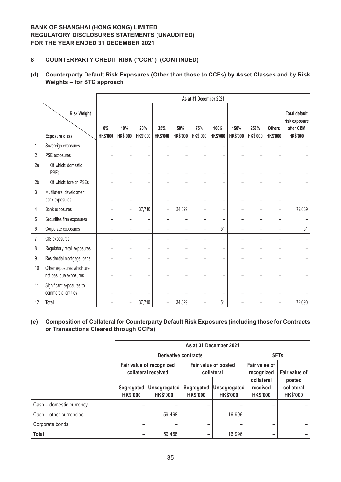### **8 COUNTERPARTY CREDIT RISK ("CCR") (CONTINUED)**

### **(d) Counterparty Default Risk Exposures (Other than those to CCPs) by Asset Classes and by Risk Weights – for STC approach**

|                |                                                     |                          | As at 31 December 2021   |                          |                          |                          |                          |                          |                          |                          |                                  |                                                                       |
|----------------|-----------------------------------------------------|--------------------------|--------------------------|--------------------------|--------------------------|--------------------------|--------------------------|--------------------------|--------------------------|--------------------------|----------------------------------|-----------------------------------------------------------------------|
|                | <b>Risk Weight</b><br><b>Exposure class</b>         | $0\%$<br><b>HK\$'000</b> | 10%<br><b>HK\$'000</b>   | 20%<br><b>HK\$'000</b>   | 35%<br><b>HK\$'000</b>   | 50%<br><b>HK\$'000</b>   | 75%<br><b>HK\$'000</b>   | 100%<br><b>HK\$'000</b>  | 150%<br><b>HK\$'000</b>  | 250%<br><b>HK\$'000</b>  | <b>Others</b><br><b>HK\$'000</b> | <b>Total default</b><br>risk exposure<br>after CRM<br><b>HK\$'000</b> |
| 1              | Sovereign exposures                                 |                          |                          |                          |                          |                          |                          |                          |                          |                          |                                  |                                                                       |
| $\overline{2}$ | PSE exposures                                       | -                        | -                        | -                        | -                        |                          | ۰                        |                          |                          |                          |                                  |                                                                       |
| 2a             | Of which: domestic<br>PSEs                          |                          | $\overline{\phantom{0}}$ | $\equiv$                 | $\overline{\phantom{0}}$ |                          | $\sim$                   |                          | $\overline{\phantom{a}}$ |                          | $\overline{\phantom{a}}$         |                                                                       |
| 2 <sub>b</sub> | Of which: foreign PSEs                              |                          | $\overline{\phantom{0}}$ |                          | $\overline{\phantom{0}}$ |                          |                          |                          |                          |                          |                                  |                                                                       |
| $\overline{3}$ | Multilateral development<br>bank exposures          |                          | $\overline{\phantom{0}}$ |                          | $\overline{\phantom{0}}$ |                          | $\overline{\phantom{0}}$ |                          | $\overline{\phantom{0}}$ | $\overline{\phantom{0}}$ |                                  |                                                                       |
| 4              | Bank exposures                                      | $\overline{\phantom{0}}$ | $\qquad \qquad -$        | 37,710                   | $\overline{\phantom{0}}$ | 34,329                   | $\overline{\phantom{m}}$ | $\overline{\phantom{m}}$ | $\overline{\phantom{m}}$ | $\overline{\phantom{m}}$ | $\overline{\phantom{m}}$         | 72,039                                                                |
| 5              | Securities firm exposures                           | $\equiv$                 | $\qquad \qquad -$        |                          | -                        |                          | $\overline{\phantom{a}}$ |                          | $\overline{\phantom{a}}$ | -                        | $\equiv$                         |                                                                       |
| $6\,$          | Corporate exposures                                 | $\overline{a}$           | $\overline{\phantom{0}}$ |                          | $\overline{\phantom{0}}$ |                          |                          | 51                       |                          |                          |                                  | 51                                                                    |
| 7              | CIS exposures                                       | $\qquad \qquad -$        | $\qquad \qquad -$        | -                        | $\qquad \qquad -$        |                          | $\qquad \qquad -$        |                          | $\overline{\phantom{0}}$ | $\overline{\phantom{0}}$ | $\qquad \qquad -$                |                                                                       |
| 8              | Regulatory retail exposures                         | ÷                        | $\overline{\phantom{0}}$ | $\equiv$                 | $\overline{\phantom{0}}$ | $\overline{\phantom{a}}$ | $\equiv$                 | $\overline{\phantom{a}}$ | $\equiv$                 | $\equiv$                 | $\equiv$                         |                                                                       |
| 9              | Residential mortgage loans                          | ۰                        | $\overline{\phantom{0}}$ | $\overline{\phantom{0}}$ | ۰                        |                          |                          |                          |                          |                          | $\overline{\phantom{0}}$         |                                                                       |
| 10             | Other exposures which are<br>not past due exposures |                          | ۰                        |                          |                          |                          |                          |                          |                          |                          |                                  |                                                                       |
| 11             | Significant exposures to<br>commercial entities     | ۰                        | -                        |                          | ۰                        |                          | $\overline{\phantom{0}}$ |                          | $\overline{\phantom{0}}$ |                          |                                  |                                                                       |
| 12             | Total                                               |                          | $\qquad \qquad -$        | 37,710                   | $\qquad \qquad -$        | 34,329                   | $\qquad \qquad -$        | 51                       | $\qquad \qquad$          |                          |                                  | 72,090                                                                |

#### **(e) Composition of Collateral for Counterparty Default Risk Exposures (including those for Contracts or Transactions Cleared through CCPs)**

|                          | As at 31 December 2021        |                                                 |                               |                                    |                                           |                                         |  |  |  |
|--------------------------|-------------------------------|-------------------------------------------------|-------------------------------|------------------------------------|-------------------------------------------|-----------------------------------------|--|--|--|
|                          |                               | <b>Derivative contracts</b>                     | <b>SFTs</b>                   |                                    |                                           |                                         |  |  |  |
|                          |                               | Fair value of recognized<br>collateral received |                               | Fair value of posted<br>collateral | Fair value of<br>recognized               | Fair value of                           |  |  |  |
|                          | Segregated<br><b>HK\$'000</b> | Unsegregated<br><b>HK\$'000</b>                 | Segregated<br><b>HK\$'000</b> | Unsegregated<br><b>HK\$'000</b>    | collateral<br>received<br><b>HK\$'000</b> | posted<br>collateral<br><b>HK\$'000</b> |  |  |  |
| Cash - domestic currency | -                             |                                                 |                               |                                    |                                           |                                         |  |  |  |
| Cash - other currencies  | -                             | 59,468                                          |                               | 16,996                             |                                           |                                         |  |  |  |
| Corporate bonds          | -                             |                                                 |                               |                                    |                                           |                                         |  |  |  |
| <b>Total</b>             | -                             | 59,468                                          |                               | 16,996                             |                                           |                                         |  |  |  |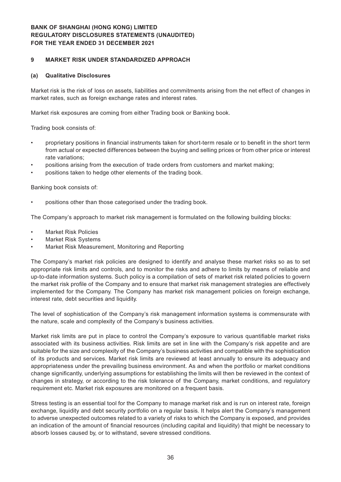#### **9 MARKET RISK UNDER STANDARDIZED APPROACH**

#### **(a) Qualitative Disclosures**

Market risk is the risk of loss on assets, liabilities and commitments arising from the net effect of changes in market rates, such as foreign exchange rates and interest rates.

Market risk exposures are coming from either Trading book or Banking book.

Trading book consists of:

- proprietary positions in financial instruments taken for short-term resale or to benefit in the short term from actual or expected differences between the buying and selling prices or from other price or interest rate variations;
- positions arising from the execution of trade orders from customers and market making;
- positions taken to hedge other elements of the trading book.

Banking book consists of:

positions other than those categorised under the trading book.

The Company's approach to market risk management is formulated on the following building blocks:

- **Market Risk Policies**
- **Market Risk Systems**
- Market Risk Measurement, Monitoring and Reporting

The Company's market risk policies are designed to identify and analyse these market risks so as to set appropriate risk limits and controls, and to monitor the risks and adhere to limits by means of reliable and up-to-date information systems. Such policy is a compilation of sets of market risk related policies to govern the market risk profile of the Company and to ensure that market risk management strategies are effectively implemented for the Company. The Company has market risk management policies on foreign exchange, interest rate, debt securities and liquidity.

The level of sophistication of the Company's risk management information systems is commensurate with the nature, scale and complexity of the Company's business activities.

Market risk limits are put in place to control the Company's exposure to various quantifiable market risks associated with its business activities. Risk limits are set in line with the Company's risk appetite and are suitable for the size and complexity of the Company's business activities and compatible with the sophistication of its products and services. Market risk limits are reviewed at least annually to ensure its adequacy and appropriateness under the prevailing business environment. As and when the portfolio or market conditions change significantly, underlying assumptions for establishing the limits will then be reviewed in the context of changes in strategy, or according to the risk tolerance of the Company, market conditions, and regulatory requirement etc. Market risk exposures are monitored on a frequent basis.

Stress testing is an essential tool for the Company to manage market risk and is run on interest rate, foreign exchange, liquidity and debt security portfolio on a regular basis. It helps alert the Company's management to adverse unexpected outcomes related to a variety of risks to which the Company is exposed, and provides an indication of the amount of financial resources (including capital and liquidity) that might be necessary to absorb losses caused by, or to withstand, severe stressed conditions.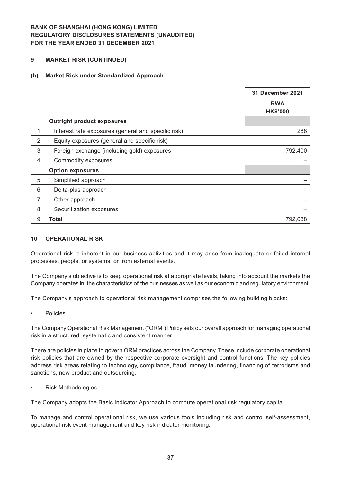#### **9 MARKET RISK (CONTINUED)**

#### **(b) Market Risk under Standardized Approach**

|                |                                                     | 31 December 2021              |
|----------------|-----------------------------------------------------|-------------------------------|
|                |                                                     | <b>RWA</b><br><b>HK\$'000</b> |
|                | <b>Outright product exposures</b>                   |                               |
| 1              | Interest rate exposures (general and specific risk) | 288                           |
| $\overline{2}$ | Equity exposures (general and specific risk)        |                               |
| 3              | Foreign exchange (including gold) exposures         | 792,400                       |
| 4              | Commodity exposures                                 |                               |
|                | <b>Option exposures</b>                             |                               |
| 5              | Simplified approach                                 |                               |
| 6              | Delta-plus approach                                 |                               |
| 7              | Other approach                                      |                               |
| 8              | Securitization exposures                            |                               |
| 9              | <b>Total</b>                                        | 792,688                       |

#### **10 OPERATIONAL RISK**

Operational risk is inherent in our business activities and it may arise from inadequate or failed internal processes, people, or systems, or from external events.

The Company's objective is to keep operational risk at appropriate levels, taking into account the markets the Company operates in, the characteristics of the businesses as well as our economic and regulatory environment.

The Company's approach to operational risk management comprises the following building blocks:

**Policies** 

The Company Operational Risk Management ("ORM") Policy sets our overall approach for managing operational risk in a structured, systematic and consistent manner.

There are policies in place to govern ORM practices across the Company. These include corporate operational risk policies that are owned by the respective corporate oversight and control functions. The key policies address risk areas relating to technology, compliance, fraud, money laundering, financing of terrorisms and sanctions, new product and outsourcing.

**Risk Methodologies** 

The Company adopts the Basic Indicator Approach to compute operational risk regulatory capital.

To manage and control operational risk, we use various tools including risk and control self-assessment, operational risk event management and key risk indicator monitoring.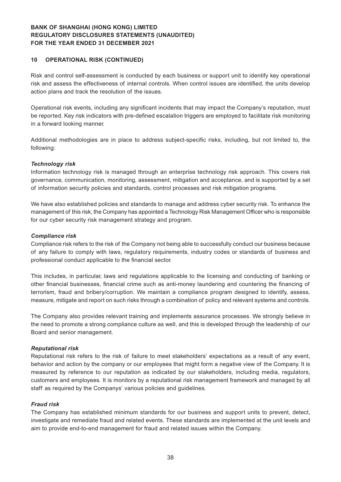#### **10 OPERATIONAL RISK (CONTINUED)**

Risk and control self-assessment is conducted by each business or support unit to identify key operational risk and assess the effectiveness of internal controls. When control issues are identified, the units develop action plans and track the resolution of the issues.

Operational risk events, including any significant incidents that may impact the Company's reputation, must be reported. Key risk indicators with pre-defined escalation triggers are employed to facilitate risk monitoring in a forward looking manner.

Additional methodologies are in place to address subject-specific risks, including, but not limited to, the following:

#### *Technology risk*

Information technology risk is managed through an enterprise technology risk approach. This covers risk governance, communication, monitoring, assessment, mitigation and acceptance, and is supported by a set of information security policies and standards, control processes and risk mitigation programs.

We have also established policies and standards to manage and address cyber security risk. To enhance the management of this risk, the Company has appointed a Technology Risk Management Officer who is responsible for our cyber security risk management strategy and program.

#### *Compliance risk*

Compliance risk refers to the risk of the Company not being able to successfully conduct our business because of any failure to comply with laws, regulatory requirements, industry codes or standards of business and professional conduct applicable to the financial sector.

This includes, in particular, laws and regulations applicable to the licensing and conducting of banking or other financial businesses, financial crime such as anti-money laundering and countering the financing of terrorism, fraud and bribery/corruption. We maintain a compliance program designed to identify, assess, measure, mitigate and report on such risks through a combination of policy and relevant systems and controls.

The Company also provides relevant training and implements assurance processes. We strongly believe in the need to promote a strong compliance culture as well, and this is developed through the leadership of our Board and senior management.

#### *Reputational risk*

Reputational risk refers to the risk of failure to meet stakeholders' expectations as a result of any event, behavior and action by the company or our employees that might form a negative view of the Company. It is measured by reference to our reputation as indicated by our stakeholders, including media, regulators, customers and employees. It is monitors by a reputational risk management framework and managed by all staff as required by the Companys' various policies and guidelines.

#### *Fraud risk*

The Company has established minimum standards for our business and support units to prevent, detect, investigate and remediate fraud and related events. These standards are implemented at the unit levels and aim to provide end-to-end management for fraud and related issues within the Company.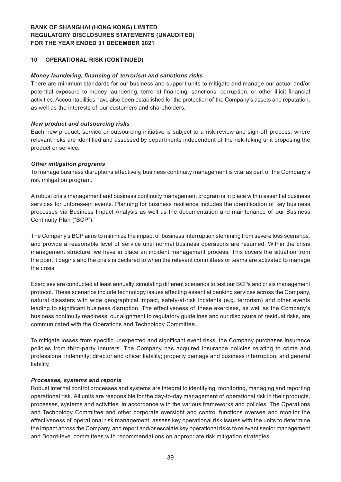#### **10 OPERATIONAL RISK (CONTINUED)**

#### *Money laundering, financing of terrorism and sanctions risks*

There are minimum standards for our business and support units to mitigate and manage our actual and/or potential exposure to money laundering, terrorist financing, sanctions, corruption, or other illicit financial activities. Accountabilities have also been established for the protection of the Company's assets and reputation, as well as the interests of our customers and shareholders.

#### *New product and outsourcing risks*

Each new product, service or outsourcing initiative is subject to a risk review and sign-off process, where relevant risks are identified and assessed by departments independent of the risk-taking unit proposing the product or service.

#### *Other mitigation programs*

To manage business disruptions effectively, business continuity management is vital as part of the Company's risk mitigation program.

A robust crisis management and business continuity management program is in place within essential business services for unforeseen events. Planning for business resilience includes the identification of key business processes via Business Impact Analysis as well as the documentation and maintenance of our Business Continuity Plan ("BCP").

The Company's BCP aims to minimize the impact of business interruption stemming from severe loss scenarios, and provide a reasonable level of service until normal business operations are resumed. Within the crisis management structure, we have in place an incident management process. This covers the situation from the point it begins and the crisis is declared to when the relevant committees or teams are activated to manage the crisis.

Exercises are conducted at least annually, simulating different scenarios to test our BCPs and crisis management protocol. These scenarios include technology issues affecting essential banking services across the Company, natural disasters with wide geographical impact, safety-at-risk incidents (e.g. terrorism) and other events leading to significant business disruption. The effectiveness of these exercises, as well as the Company's business continuity readiness, our alignment to regulatory guidelines and our disclosure of residual risks, are communicated with the Operations and Technology Committee.

To mitigate losses from specific unexpected and significant event risks, the Company purchases insurance policies from third-party insurers. The Company has acquired insurance policies relating to crime and professional indemnity; director and officer liability; property damage and business interruption; and general liability.

#### *Processes, systems and reports*

Robust internal control processes and systems are integral to identifying, monitoring, managing and reporting operational risk. All units are responsible for the day-to-day management of operational risk in their products, processes, systems and activities, in accordance with the various frameworks and policies. The Operations and Technology Committee and other corporate oversight and control functions oversee and monitor the effectiveness of operational risk management, assess key operational risk issues with the units to determine the impact across the Company, and report and/or escalate key operational risks to relevant senior management and Board-level committees with recommendations on appropriate risk mitigation strategies.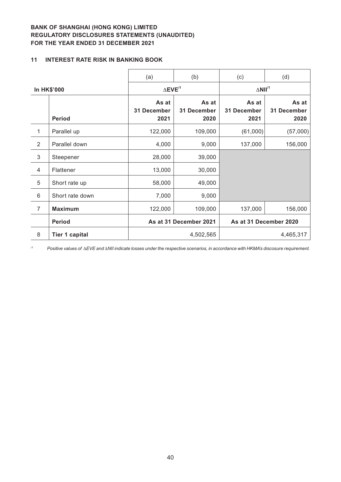### **11 INTEREST RATE RISK IN BANKING BOOK**

|                    |                       | (a)                          | (b)                          | (c)                           | (d)                          |
|--------------------|-----------------------|------------------------------|------------------------------|-------------------------------|------------------------------|
| <b>In HK\$'000</b> |                       | $\Delta$ EVE <sup>/1</sup>   |                              | $\triangle$ NII <sup>/1</sup> |                              |
|                    | <b>Period</b>         | As at<br>31 December<br>2021 | As at<br>31 December<br>2020 | As at<br>31 December<br>2021  | As at<br>31 December<br>2020 |
| $\mathbf{1}$       | Parallel up           | 122,000                      | 109,000                      | (61,000)                      | (57,000)                     |
| $\overline{2}$     | Parallel down         | 4,000                        | 9,000                        | 137,000                       | 156,000                      |
| $\mathfrak{S}$     | Steepener             | 28,000                       | 39,000                       |                               |                              |
| $\overline{4}$     | Flattener             | 13,000                       | 30,000                       |                               |                              |
| 5                  | Short rate up         | 58,000                       | 49,000                       |                               |                              |
| 6                  | Short rate down       | 7,000                        | 9,000                        |                               |                              |
| $\overline{7}$     | <b>Maximum</b>        | 122,000                      | 109,000                      | 137,000                       | 156,000                      |
|                    | <b>Period</b>         |                              | As at 31 December 2021       | As at 31 December 2020        |                              |
| 8                  | <b>Tier 1 capital</b> |                              | 4,502,565                    |                               | 4,465,317                    |

*/1 Positive values of* D*EVE and* D*NII indicate losses under the respective scenarios, in accordance with HKMA's discosure requirement.*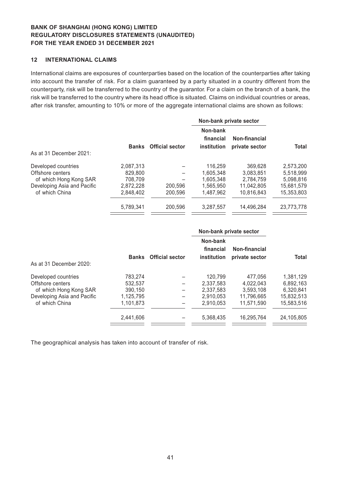#### **12 INTERNATIONAL CLAIMS**

International claims are exposures of counterparties based on the location of the counterparties after taking into account the transfer of risk. For a claim guaranteed by a party situated in a country different from the counterparty, risk will be transferred to the country of the guarantor. For a claim on the branch of a bank, the risk will be transferred to the country where its head office is situated. Claims on individual countries or areas, after risk transfer, amounting to 10% or more of the aggregate international claims are shown as follows:

|                                                                   |                                 |                        | Non-bank private sector              |                                   |                                     |
|-------------------------------------------------------------------|---------------------------------|------------------------|--------------------------------------|-----------------------------------|-------------------------------------|
|                                                                   | <b>Banks</b>                    | <b>Official sector</b> | Non-bank<br>financial<br>institution | Non-financial<br>private sector   | <b>Total</b>                        |
| As at 31 December 2021:                                           |                                 |                        |                                      |                                   |                                     |
| Developed countries<br>Offshore centers<br>of which Hong Kong SAR | 2,087,313<br>829,800<br>708.709 |                        | 116.259<br>1.605.348<br>1.605.348    | 369.628<br>3.083.851<br>2.784.759 | 2,573,200<br>5,518,999<br>5,098,816 |
| Developing Asia and Pacific<br>of which China                     | 2,872,228<br>2.848.402          | 200.596<br>200,596     | 1.565.950<br>1.487.962               | 11.042.805<br>10.816.843          | 15,681,579<br>15.353.803            |
|                                                                   | 5.789.341                       | 200.596                | 3.287.557                            | 14.496.284                        | 23,773,778                          |

|                             |              |                        | Non-bank private sector              |                                 |            |  |
|-----------------------------|--------------|------------------------|--------------------------------------|---------------------------------|------------|--|
| As at 31 December 2020:     | <b>Banks</b> | <b>Official sector</b> | Non-bank<br>financial<br>institution | Non-financial<br>private sector | Total      |  |
| Developed countries         | 783,274      |                        | 120.799                              | 477.056                         | 1.381.129  |  |
| Offshore centers            | 532.537      |                        | 2.337.583                            | 4.022.043                       | 6.892.163  |  |
| of which Hong Kong SAR      | 390.150      |                        | 2.337.583                            | 3.593.108                       | 6.320.841  |  |
| Developing Asia and Pacific | 1,125,795    |                        | 2.910.053                            | 11.796.665                      | 15,832,513 |  |
| of which China              | 1.101.873    |                        | 2.910.053                            | 11.571.590                      | 15,583,516 |  |
|                             | 2.441.606    |                        | 5,368,435                            | 16.295.764                      | 24,105,805 |  |
|                             |              |                        |                                      |                                 |            |  |

The geographical analysis has taken into account of transfer of risk.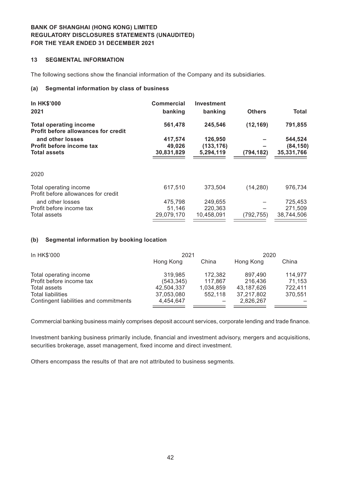### **13 SEGMENTAL INFORMATION**

The following sections show the financial information of the Company and its subsidiaries.

#### **(a) Segmental information by class of business**

| <b>Commercial</b> | <b>Investment</b> |               |              |
|-------------------|-------------------|---------------|--------------|
| banking           | banking           | <b>Others</b> | <b>Total</b> |
| 561,478           | 245,546           | (12, 169)     | 791,855      |
| 417,574           | 126,950           |               | 544,524      |
| 49,026            | (133, 176)        |               | (84, 150)    |
| 30,831,829        | 5,294,119         | (794, 182)    | 35,331,766   |
|                   |                   |               |              |
| 617,510           | 373,504           | (14, 280)     | 976,734      |
| 475.798           | 249,655           |               | 725,453      |
| 51.146            | 220,363           |               | 271,509      |
| 29,079,170        | 10,458,091        | (792, 755)    | 38,744,506   |
|                   |                   |               |              |

#### **(b) Segmental information by booking location**

| In HK\$'000                            | 2021       |           | 2020       |         |
|----------------------------------------|------------|-----------|------------|---------|
|                                        | Hong Kong  | China     | Hong Kong  | China   |
| Total operating income                 | 319,985    | 172,382   | 897.490    | 114,977 |
| Profit before income tax               | (543, 345) | 117,867   | 216.436    | 71,153  |
| Total assets                           | 42,504,337 | 1,034,859 | 43,187,626 | 722,411 |
| <b>Total liabilities</b>               | 37,053,080 | 552,118   | 37,217,802 | 370.551 |
| Contingent liabilities and commitments | 4,454,647  |           | 2,826,267  |         |
|                                        |            |           |            |         |

Commercial banking business mainly comprises deposit account services, corporate lending and trade finance.

Investment banking business primarily include, financial and investment advisory, mergers and acquisitions, securities brokerage, asset management, fixed income and direct investment.

Others encompass the results of that are not attributed to business segments.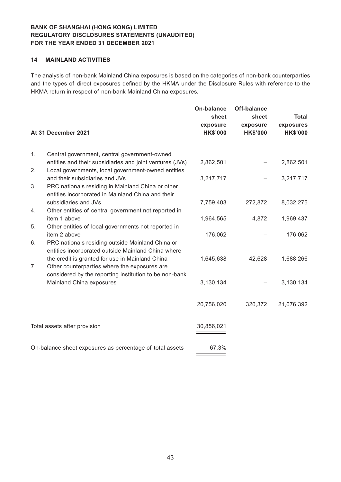#### **14 MAINLAND ACTIVITIES**

The analysis of non-bank Mainland China exposures is based on the categories of non-bank counterparties and the types of direct exposures defined by the HKMA under the Disclosure Rules with reference to the HKMA return in respect of non-bank Mainland China exposures.

|    | At 31 December 2021                                                                                                                      | <b>On-balance</b><br>sheet<br>exposure<br><b>HK\$'000</b> | <b>Off-balance</b><br>sheet<br>exposure<br><b>HK\$'000</b> | <b>Total</b><br>exposures<br><b>HK\$'000</b> |
|----|------------------------------------------------------------------------------------------------------------------------------------------|-----------------------------------------------------------|------------------------------------------------------------|----------------------------------------------|
|    |                                                                                                                                          |                                                           |                                                            |                                              |
| 1. | Central government, central government-owned<br>entities and their subsidiaries and joint ventures (JVs)                                 | 2,862,501                                                 |                                                            | 2,862,501                                    |
| 2. | Local governments, local government-owned entities                                                                                       |                                                           |                                                            |                                              |
| 3. | and their subsidiaries and JVs<br>PRC nationals residing in Mainland China or other<br>entities incorporated in Mainland China and their | 3,217,717                                                 |                                                            | 3,217,717                                    |
| 4. | subsidiaries and JVs<br>Other entities of central government not reported in                                                             | 7,759,403                                                 | 272,872                                                    | 8,032,275                                    |
|    | item 1 above                                                                                                                             | 1,964,565                                                 | 4,872                                                      | 1,969,437                                    |
| 5. | Other entities of local governments not reported in<br>item 2 above                                                                      | 176,062                                                   |                                                            | 176,062                                      |
| 6. | PRC nationals residing outside Mainland China or<br>entities incorporated outside Mainland China where                                   |                                                           |                                                            |                                              |
| 7. | the credit is granted for use in Mainland China<br>Other counterparties where the exposures are                                          | 1,645,638                                                 | 42,628                                                     | 1,688,266                                    |
|    | considered by the reporting institution to be non-bank<br>Mainland China exposures                                                       | 3,130,134                                                 |                                                            | 3,130,134                                    |
|    |                                                                                                                                          | 20,756,020                                                | 320,372                                                    | 21,076,392                                   |
|    | Total assets after provision                                                                                                             | 30,856,021                                                |                                                            |                                              |
|    | On-balance sheet exposures as percentage of total assets                                                                                 | 67.3%                                                     |                                                            |                                              |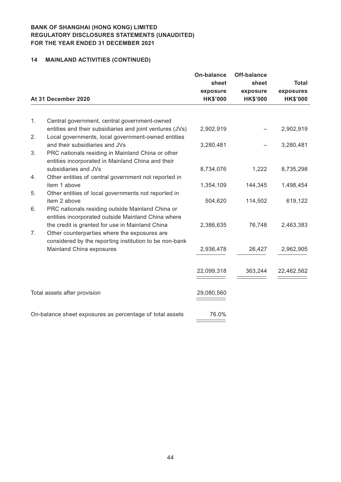# **14 MAINLAND ACTIVITIES (CONTINUED)**

|    | At 31 December 2020                                                                                                                                       | <b>On-balance</b><br>sheet<br>exposure<br><b>HK\$'000</b> | Off-balance<br>sheet<br>exposure<br><b>HK\$'000</b> | <b>Total</b><br>exposures<br><b>HK\$'000</b> |
|----|-----------------------------------------------------------------------------------------------------------------------------------------------------------|-----------------------------------------------------------|-----------------------------------------------------|----------------------------------------------|
|    |                                                                                                                                                           |                                                           |                                                     |                                              |
| 1. | Central government, central government-owned<br>entities and their subsidiaries and joint ventures (JVs)                                                  | 2,902,919                                                 |                                                     | 2,902,919                                    |
| 2. | Local governments, local government-owned entities                                                                                                        |                                                           |                                                     |                                              |
| 3. | and their subsidiaries and JVs<br>PRC nationals residing in Mainland China or other<br>entities incorporated in Mainland China and their                  | 3,280,481                                                 |                                                     | 3,280,481                                    |
| 4. | subsidiaries and JVs<br>Other entities of central government not reported in                                                                              | 8,734,076                                                 | 1,222                                               | 8,735,298                                    |
| 5. | item 1 above<br>Other entities of local governments not reported in                                                                                       | 1,354,109                                                 | 144,345                                             | 1,498,454                                    |
|    | item 2 above                                                                                                                                              | 504,620                                                   | 114,502                                             | 619,122                                      |
| 6. | PRC nationals residing outside Mainland China or<br>entities incorporated outside Mainland China where                                                    |                                                           |                                                     |                                              |
| 7. | the credit is granted for use in Mainland China<br>Other counterparties where the exposures are<br>considered by the reporting institution to be non-bank | 2,386,635                                                 | 76,748                                              | 2,463,383                                    |
|    | Mainland China exposures                                                                                                                                  | 2,936,478                                                 | 26,427                                              | 2,962,905                                    |
|    |                                                                                                                                                           | 22,099,318                                                | 363,244                                             | 22,462,562                                   |
|    | Total assets after provision                                                                                                                              | 29,080,560                                                |                                                     |                                              |
|    | On-balance sheet exposures as percentage of total assets                                                                                                  | 76.0%                                                     |                                                     |                                              |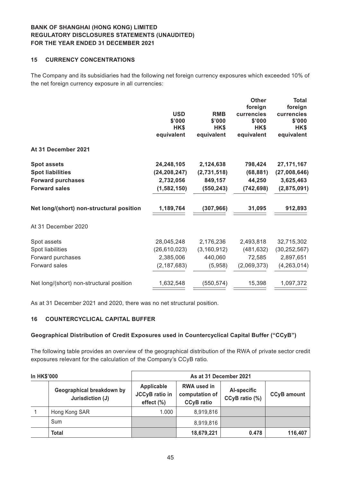#### **15 CURRENCY CONCENTRATIONS**

The Company and its subsidiaries had the following net foreign currency exposures which exceeded 10% of the net foreign currency exposure in all currencies:

|                                                                                                   | <b>USD</b><br>\$'000<br>HK\$<br>equivalent                 | <b>RMB</b><br>\$'000<br>HK\$<br>equivalent        | <b>Other</b><br>foreign<br>currencies<br>\$'000<br>HK\$<br>equivalent | <b>Total</b><br>foreign<br>currencies<br>\$'000<br>HK\$<br>equivalent |
|---------------------------------------------------------------------------------------------------|------------------------------------------------------------|---------------------------------------------------|-----------------------------------------------------------------------|-----------------------------------------------------------------------|
| At 31 December 2021                                                                               |                                                            |                                                   |                                                                       |                                                                       |
| <b>Spot assets</b><br><b>Spot liabilities</b><br><b>Forward purchases</b><br><b>Forward sales</b> | 24,248,105<br>(24, 208, 247)<br>2,732,056<br>(1, 582, 150) | 2,124,638<br>(2,731,518)<br>849,157<br>(550, 243) | 798,424<br>(68, 881)<br>44,250<br>(742, 698)                          | 27, 171, 167<br>(27,008,646)<br>3,625,463<br>(2,875,091)              |
| Net long/(short) non-structural position                                                          | 1,189,764                                                  | (307, 966)                                        | 31,095                                                                | 912,893                                                               |
| At 31 December 2020                                                                               |                                                            |                                                   |                                                                       |                                                                       |
| Spot assets<br>Spot liabilities<br>Forward purchases<br>Forward sales                             | 28,045,248<br>(26, 610, 023)<br>2,385,006<br>(2, 187, 683) | 2,176,236<br>(3, 160, 912)<br>440,060<br>(5,958)  | 2,493,818<br>(481, 632)<br>72,585<br>(2,069,373)                      | 32,715,302<br>(30, 252, 567)<br>2,897,651<br>(4, 263, 014)            |
| Net long/(short) non-structural position                                                          | 1,632,548                                                  | (550, 574)                                        | 15,398                                                                | 1,097,372                                                             |

As at 31 December 2021 and 2020, there was no net structural position.

### **16 COUNTERCYCLICAL CAPITAL BUFFER**

#### **Geographical Distribution of Credit Exposures used in Countercyclical Capital Buffer ("CCyB")**

The following table provides an overview of the geographical distribution of the RWA of private sector credit exposures relevant for the calculation of the Company's CCyB ratio.

| <b>In HK\$'000</b> |                                               | As at 31 December 2021                                |                                                           |                               |                    |  |
|--------------------|-----------------------------------------------|-------------------------------------------------------|-----------------------------------------------------------|-------------------------------|--------------------|--|
|                    | Geographical breakdown by<br>Jurisdiction (J) | Applicable<br><b>JCCyB</b> ratio in<br>effect $(\% )$ | <b>RWA used in</b><br>computation of<br><b>CCyB</b> ratio | Al-specific<br>CCyB ratio (%) | <b>CCyB</b> amount |  |
|                    | Hong Kong SAR                                 | 1.000                                                 | 8,919,816                                                 |                               |                    |  |
|                    | Sum                                           |                                                       | 8,919,816                                                 |                               |                    |  |
|                    | <b>Total</b>                                  |                                                       | 18,679,221                                                | 0.478                         | 116,407            |  |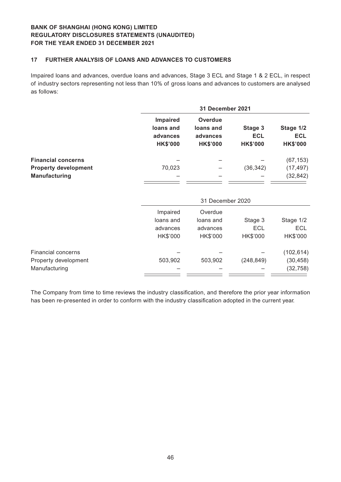#### **17 FURTHER ANALYSIS OF LOANS AND ADVANCES TO CUSTOMERS**

Impaired loans and advances, overdue loans and advances, Stage 3 ECL and Stage 1 & 2 ECL, in respect of industry sectors representing not less than 10% of gross loans and advances to customers are analysed as follows:

|                             |                                                             | 31 December 2021                                           |                                          |                                            |  |
|-----------------------------|-------------------------------------------------------------|------------------------------------------------------------|------------------------------------------|--------------------------------------------|--|
|                             | <b>Impaired</b><br>loans and<br>advances<br><b>HK\$'000</b> | <b>Overdue</b><br>loans and<br>advances<br><b>HK\$'000</b> | Stage 3<br><b>ECL</b><br><b>HK\$'000</b> | Stage 1/2<br><b>ECL</b><br><b>HK\$'000</b> |  |
| <b>Financial concerns</b>   |                                                             |                                                            |                                          | (67, 153)                                  |  |
| <b>Property development</b> | 70,023                                                      |                                                            | (36, 342)                                | (17, 497)                                  |  |
| <b>Manufacturing</b>        |                                                             |                                                            |                                          | (32, 842)                                  |  |
|                             |                                                             | 31 December 2020                                           |                                          |                                            |  |
|                             | Impaired                                                    | Overdue                                                    |                                          |                                            |  |
|                             | loans and                                                   | loans and                                                  | Stage 3                                  | Stage 1/2                                  |  |
|                             | advances                                                    | advances                                                   | ECL                                      | <b>ECL</b>                                 |  |
|                             | $L/L$ <sup><math>\alpha</math></sup>                        | $LIX$ <sup><math>n</math></sup>                            | $LIX$ <sup><math>n</math></sup> $\Omega$ | $LIX$ <sup><math>n</math></sup>            |  |

|                      | HK\$'000 | HK\$'000 | HK\$'000  | HK\$'000   |
|----------------------|----------|----------|-----------|------------|
| Financial concerns   |          |          |           | (102, 614) |
| Property development | 503.902  | 503.902  | (248.849) | (30, 458)  |
| Manufacturing        |          |          |           | (32, 758)  |

The Company from time to time reviews the industry classification, and therefore the prior year information has been re-presented in order to conform with the industry classification adopted in the current year.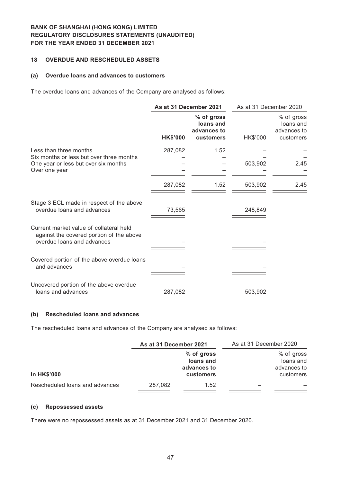#### **18 OVERDUE AND RESCHEDULED ASSETS**

#### **(a) Overdue loans and advances to customers**

The overdue loans and advances of the Company are analysed as follows:

|                                                                                                                   | As at 31 December 2021 |                                                     | As at 31 December 2020 |                                                     |
|-------------------------------------------------------------------------------------------------------------------|------------------------|-----------------------------------------------------|------------------------|-----------------------------------------------------|
|                                                                                                                   | <b>HK\$'000</b>        | % of gross<br>loans and<br>advances to<br>customers | HK\$'000               | % of gross<br>loans and<br>advances to<br>customers |
| Less than three months                                                                                            | 287,082                | 1.52                                                |                        |                                                     |
| Six months or less but over three months<br>One year or less but over six months<br>Over one year                 |                        |                                                     | 503,902                | 2.45                                                |
|                                                                                                                   | 287,082                | 1.52                                                | 503,902                | 2.45                                                |
| Stage 3 ECL made in respect of the above<br>overdue loans and advances                                            | 73,565                 |                                                     | 248,849                |                                                     |
| Current market value of collateral held<br>against the covered portion of the above<br>overdue loans and advances |                        |                                                     |                        |                                                     |
| Covered portion of the above overdue loans<br>and advances                                                        |                        |                                                     |                        |                                                     |
| Uncovered portion of the above overdue<br>loans and advances                                                      | 287,082                |                                                     | 503,902                |                                                     |

#### **(b) Rescheduled loans and advances**

The rescheduled loans and advances of the Company are analysed as follows:

| As at 31 December 2021 |            | As at 31 December 2020 |             |
|------------------------|------------|------------------------|-------------|
|                        | % of gross |                        | % of gross  |
|                        | loans and  |                        | loans and   |
|                        |            |                        | advances to |
|                        | customers  |                        | customers   |
| 287.082                | 1.52       |                        |             |
|                        |            | advances to            |             |

#### **(c) Repossessed assets**

There were no repossessed assets as at 31 December 2021 and 31 December 2020.